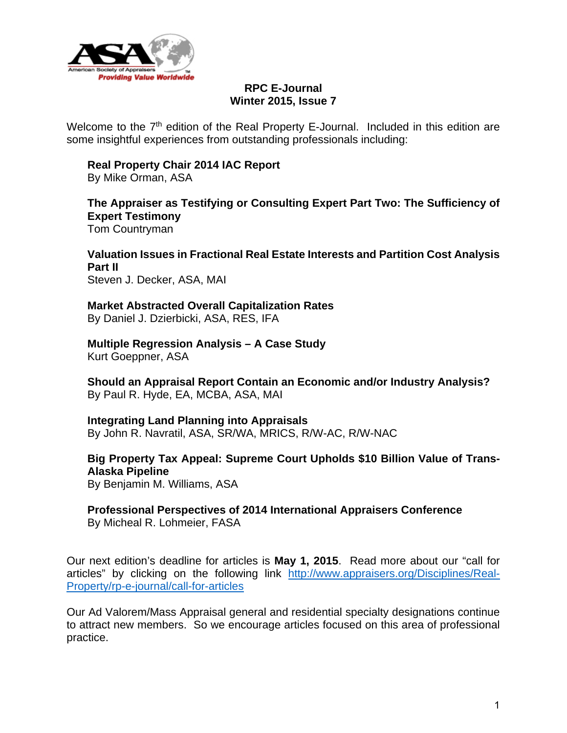

# **RPC E-Journal Winter 2015, Issue 7**

Welcome to the  $7<sup>th</sup>$  edition of the Real Property E-Journal. Included in this edition are some insightful experiences from outstanding professionals including:

# **Real Property Chair 2014 IAC Report**

By Mike Orman, ASA

#### **The Appraiser as Testifying or Consulting Expert Part Two: The Sufficiency of Expert Testimony**  Tom Countryman

**Valuation Issues in Fractional Real Estate Interests and Partition Cost Analysis Part II**  Steven J. Decker, ASA, MAI

**Market Abstracted Overall Capitalization Rates**  By Daniel J. Dzierbicki, ASA, RES, IFA

**Multiple Regression Analysis – A Case Study**  Kurt Goeppner, ASA

**Should an Appraisal Report Contain an Economic and/or Industry Analysis?**  By Paul R. Hyde, EA, MCBA, ASA, MAI

**Integrating Land Planning into Appraisals** 

By John R. Navratil, ASA, SR/WA, MRICS, R/W-AC, R/W-NAC

**Big Property Tax Appeal: Supreme Court Upholds \$10 Billion Value of Trans-Alaska Pipeline** By Benjamin M. Williams, ASA

**Professional Perspectives of 2014 International Appraisers Conference**  By Micheal R. Lohmeier, FASA

Our next edition's deadline for articles is **May 1, 2015**. Read more about our "call for articles" by clicking on the following link http://www.appraisers.org/Disciplines/Real-Property/rp-e-journal/call-for-articles

Our Ad Valorem/Mass Appraisal general and residential specialty designations continue to attract new members. So we encourage articles focused on this area of professional practice.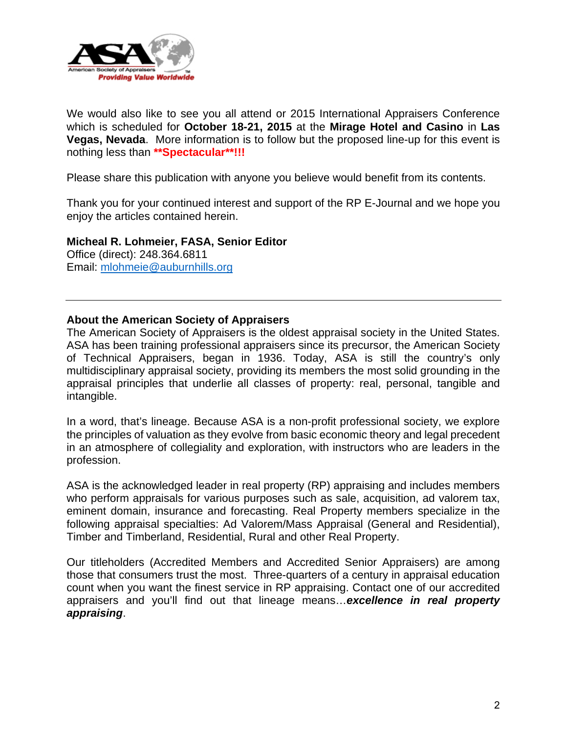

We would also like to see you all attend or 2015 International Appraisers Conference which is scheduled for **October 18-21, 2015** at the **Mirage Hotel and Casino** in **Las Vegas, Nevada**. More information is to follow but the proposed line-up for this event is nothing less than **\*\*Spectacular\*\*!!!** 

Please share this publication with anyone you believe would benefit from its contents.

Thank you for your continued interest and support of the RP E-Journal and we hope you enjoy the articles contained herein.

**Micheal R. Lohmeier, FASA, Senior Editor**  Office (direct): 248.364.6811 Email: mlohmeie@auburnhills.org

# **About the American Society of Appraisers**

The American Society of Appraisers is the oldest appraisal society in the United States. ASA has been training professional appraisers since its precursor, the American Society of Technical Appraisers, began in 1936. Today, ASA is still the country's only multidisciplinary appraisal society, providing its members the most solid grounding in the appraisal principles that underlie all classes of property: real, personal, tangible and intangible.

In a word, that's lineage. Because ASA is a non-profit professional society, we explore the principles of valuation as they evolve from basic economic theory and legal precedent in an atmosphere of collegiality and exploration, with instructors who are leaders in the profession.

ASA is the acknowledged leader in real property (RP) appraising and includes members who perform appraisals for various purposes such as sale, acquisition, ad valorem tax, eminent domain, insurance and forecasting. Real Property members specialize in the following appraisal specialties: Ad Valorem/Mass Appraisal (General and Residential), Timber and Timberland, Residential, Rural and other Real Property.

Our titleholders (Accredited Members and Accredited Senior Appraisers) are among those that consumers trust the most. Three-quarters of a century in appraisal education count when you want the finest service in RP appraising. Contact one of our accredited appraisers and you'll find out that lineage means…*excellence in real property appraising*.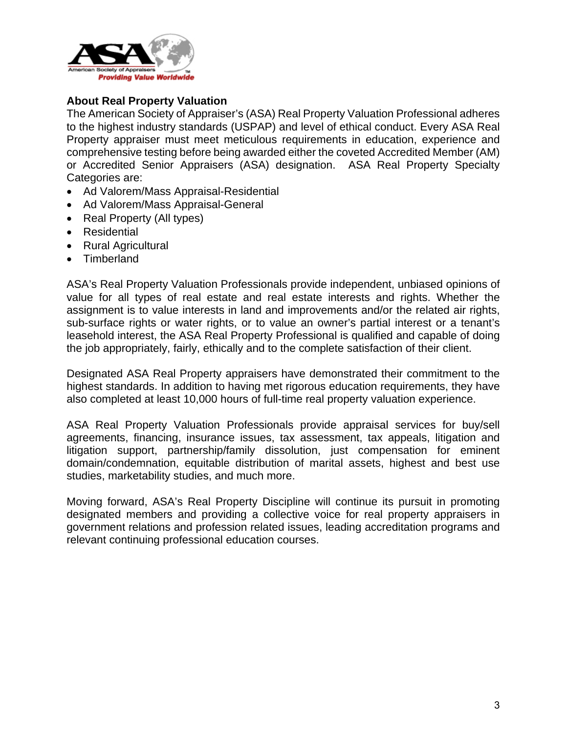

# **About Real Property Valuation**

The American Society of Appraiser's (ASA) Real Property Valuation Professional adheres to the highest industry standards (USPAP) and level of ethical conduct. Every ASA Real Property appraiser must meet meticulous requirements in education, experience and comprehensive testing before being awarded either the coveted Accredited Member (AM) or Accredited Senior Appraisers (ASA) designation. ASA Real Property Specialty Categories are:

- Ad Valorem/Mass Appraisal-Residential
- Ad Valorem/Mass Appraisal-General
- Real Property (All types)
- Residential
- Rural Agricultural
- Timberland

ASA's Real Property Valuation Professionals provide independent, unbiased opinions of value for all types of real estate and real estate interests and rights. Whether the assignment is to value interests in land and improvements and/or the related air rights, sub-surface rights or water rights, or to value an owner's partial interest or a tenant's leasehold interest, the ASA Real Property Professional is qualified and capable of doing the job appropriately, fairly, ethically and to the complete satisfaction of their client.

Designated ASA Real Property appraisers have demonstrated their commitment to the highest standards. In addition to having met rigorous education requirements, they have also completed at least 10,000 hours of full-time real property valuation experience.

ASA Real Property Valuation Professionals provide appraisal services for buy/sell agreements, financing, insurance issues, tax assessment, tax appeals, litigation and litigation support, partnership/family dissolution, just compensation for eminent domain/condemnation, equitable distribution of marital assets, highest and best use studies, marketability studies, and much more.

Moving forward, ASA's Real Property Discipline will continue its pursuit in promoting designated members and providing a collective voice for real property appraisers in government relations and profession related issues, leading accreditation programs and relevant continuing professional education courses.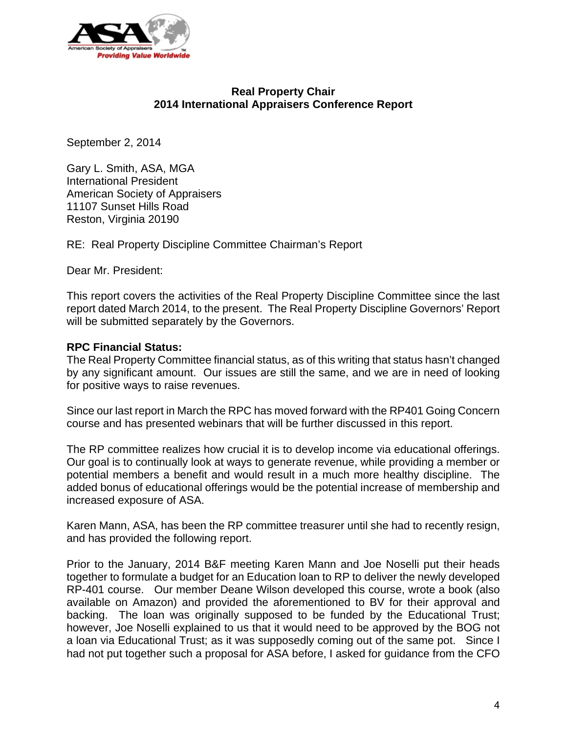

# **Real Property Chair 2014 International Appraisers Conference Report**

September 2, 2014

Gary L. Smith, ASA, MGA International President American Society of Appraisers 11107 Sunset Hills Road Reston, Virginia 20190

RE: Real Property Discipline Committee Chairman's Report

Dear Mr. President:

This report covers the activities of the Real Property Discipline Committee since the last report dated March 2014, to the present. The Real Property Discipline Governors' Report will be submitted separately by the Governors.

## **RPC Financial Status:**

The Real Property Committee financial status, as of this writing that status hasn't changed by any significant amount. Our issues are still the same, and we are in need of looking for positive ways to raise revenues.

Since our last report in March the RPC has moved forward with the RP401 Going Concern course and has presented webinars that will be further discussed in this report.

The RP committee realizes how crucial it is to develop income via educational offerings. Our goal is to continually look at ways to generate revenue, while providing a member or potential members a benefit and would result in a much more healthy discipline. The added bonus of educational offerings would be the potential increase of membership and increased exposure of ASA.

Karen Mann, ASA, has been the RP committee treasurer until she had to recently resign, and has provided the following report.

Prior to the January, 2014 B&F meeting Karen Mann and Joe Noselli put their heads together to formulate a budget for an Education loan to RP to deliver the newly developed RP-401 course. Our member Deane Wilson developed this course, wrote a book (also available on Amazon) and provided the aforementioned to BV for their approval and backing. The loan was originally supposed to be funded by the Educational Trust; however, Joe Noselli explained to us that it would need to be approved by the BOG not a loan via Educational Trust; as it was supposedly coming out of the same pot. Since I had not put together such a proposal for ASA before, I asked for guidance from the CFO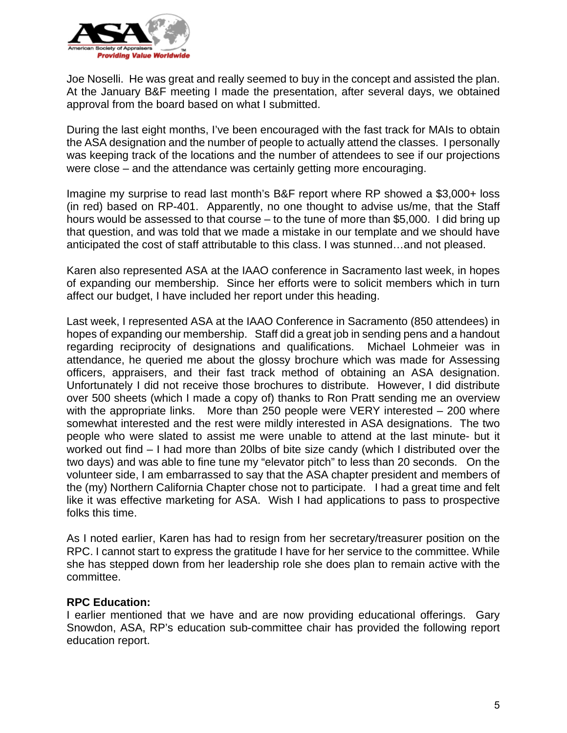

Joe Noselli. He was great and really seemed to buy in the concept and assisted the plan. At the January B&F meeting I made the presentation, after several days, we obtained approval from the board based on what I submitted.

During the last eight months, I've been encouraged with the fast track for MAIs to obtain the ASA designation and the number of people to actually attend the classes. I personally was keeping track of the locations and the number of attendees to see if our projections were close – and the attendance was certainly getting more encouraging.

Imagine my surprise to read last month's B&F report where RP showed a \$3,000+ loss (in red) based on RP-401. Apparently, no one thought to advise us/me, that the Staff hours would be assessed to that course – to the tune of more than \$5,000. I did bring up that question, and was told that we made a mistake in our template and we should have anticipated the cost of staff attributable to this class. I was stunned…and not pleased.

Karen also represented ASA at the IAAO conference in Sacramento last week, in hopes of expanding our membership. Since her efforts were to solicit members which in turn affect our budget, I have included her report under this heading.

Last week, I represented ASA at the IAAO Conference in Sacramento (850 attendees) in hopes of expanding our membership. Staff did a great job in sending pens and a handout regarding reciprocity of designations and qualifications. Michael Lohmeier was in attendance, he queried me about the glossy brochure which was made for Assessing officers, appraisers, and their fast track method of obtaining an ASA designation. Unfortunately I did not receive those brochures to distribute. However, I did distribute over 500 sheets (which I made a copy of) thanks to Ron Pratt sending me an overview with the appropriate links. More than 250 people were VERY interested – 200 where somewhat interested and the rest were mildly interested in ASA designations. The two people who were slated to assist me were unable to attend at the last minute- but it worked out find – I had more than 20lbs of bite size candy (which I distributed over the two days) and was able to fine tune my "elevator pitch" to less than 20 seconds. On the volunteer side, I am embarrassed to say that the ASA chapter president and members of the (my) Northern California Chapter chose not to participate. I had a great time and felt like it was effective marketing for ASA. Wish I had applications to pass to prospective folks this time.

As I noted earlier, Karen has had to resign from her secretary/treasurer position on the RPC. I cannot start to express the gratitude I have for her service to the committee. While she has stepped down from her leadership role she does plan to remain active with the committee.

# **RPC Education:**

I earlier mentioned that we have and are now providing educational offerings. Gary Snowdon, ASA, RP's education sub-committee chair has provided the following report education report.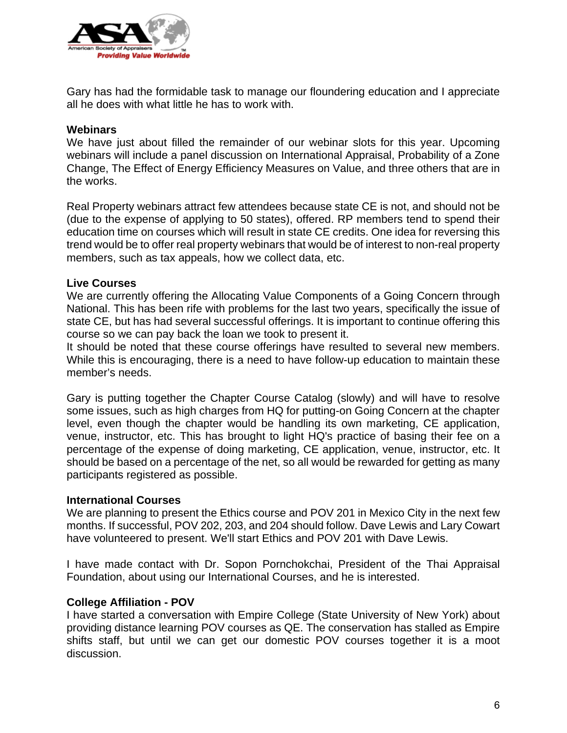

Gary has had the formidable task to manage our floundering education and I appreciate all he does with what little he has to work with.

#### **Webinars**

We have just about filled the remainder of our webinar slots for this year. Upcoming webinars will include a panel discussion on International Appraisal, Probability of a Zone Change, The Effect of Energy Efficiency Measures on Value, and three others that are in the works.

Real Property webinars attract few attendees because state CE is not, and should not be (due to the expense of applying to 50 states), offered. RP members tend to spend their education time on courses which will result in state CE credits. One idea for reversing this trend would be to offer real property webinars that would be of interest to non-real property members, such as tax appeals, how we collect data, etc.

#### **Live Courses**

We are currently offering the Allocating Value Components of a Going Concern through National. This has been rife with problems for the last two years, specifically the issue of state CE, but has had several successful offerings. It is important to continue offering this course so we can pay back the loan we took to present it.

It should be noted that these course offerings have resulted to several new members. While this is encouraging, there is a need to have follow-up education to maintain these member's needs.

Gary is putting together the Chapter Course Catalog (slowly) and will have to resolve some issues, such as high charges from HQ for putting-on Going Concern at the chapter level, even though the chapter would be handling its own marketing, CE application, venue, instructor, etc. This has brought to light HQ's practice of basing their fee on a percentage of the expense of doing marketing, CE application, venue, instructor, etc. It should be based on a percentage of the net, so all would be rewarded for getting as many participants registered as possible.

#### **International Courses**

We are planning to present the Ethics course and POV 201 in Mexico City in the next few months. If successful, POV 202, 203, and 204 should follow. Dave Lewis and Lary Cowart have volunteered to present. We'll start Ethics and POV 201 with Dave Lewis.

I have made contact with Dr. Sopon Pornchokchai, President of the Thai Appraisal Foundation, about using our International Courses, and he is interested.

# **College Affiliation - POV**

I have started a conversation with Empire College (State University of New York) about providing distance learning POV courses as QE. The conservation has stalled as Empire shifts staff, but until we can get our domestic POV courses together it is a moot discussion.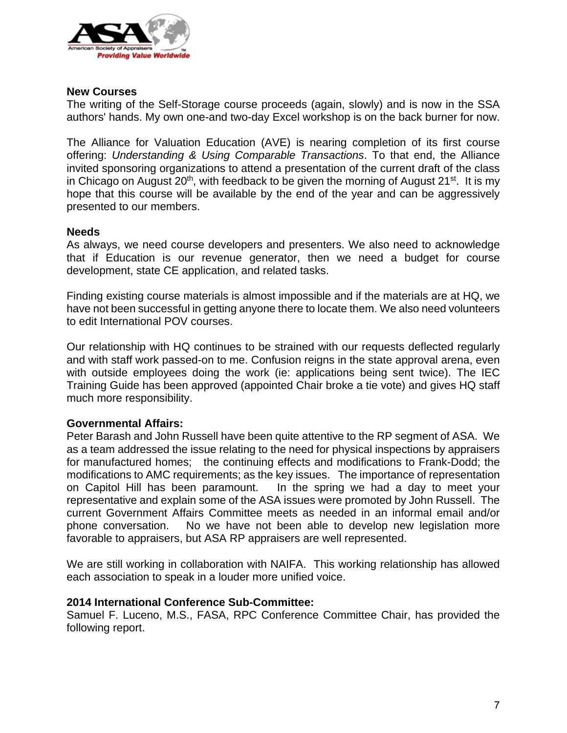

## **New Courses**

The writing of the Self-Storage course proceeds (again, slowly) and is now in the SSA authors' hands. My own one-and two-day Excel workshop is on the back burner for now.

The Alliance for Valuation Education (AVE) is nearing completion of its first course offering: *Understanding & Using Comparable Transactions*. To that end, the Alliance invited sponsoring organizations to attend a presentation of the current draft of the class in Chicago on August  $20<sup>th</sup>$ , with feedback to be given the morning of August  $21<sup>st</sup>$ . It is my hope that this course will be available by the end of the year and can be aggressively presented to our members.

#### **Needs**

As always, we need course developers and presenters. We also need to acknowledge that if Education is our revenue generator, then we need a budget for course development, state CE application, and related tasks.

Finding existing course materials is almost impossible and if the materials are at HQ, we have not been successful in getting anyone there to locate them. We also need volunteers to edit International POV courses.

Our relationship with HQ continues to be strained with our requests deflected regularly and with staff work passed-on to me. Confusion reigns in the state approval arena, even with outside employees doing the work (ie: applications being sent twice). The IEC Training Guide has been approved (appointed Chair broke a tie vote) and gives HQ staff much more responsibility.

# **Governmental Affairs:**

Peter Barash and John Russell have been quite attentive to the RP segment of ASA. We as a team addressed the issue relating to the need for physical inspections by appraisers for manufactured homes; the continuing effects and modifications to Frank-Dodd; the modifications to AMC requirements; as the key issues. The importance of representation on Capitol Hill has been paramount. In the spring we had a day to meet your representative and explain some of the ASA issues were promoted by John Russell. The current Government Affairs Committee meets as needed in an informal email and/or phone conversation. No we have not been able to develop new legislation more favorable to appraisers, but ASA RP appraisers are well represented.

We are still working in collaboration with NAIFA. This working relationship has allowed each association to speak in a louder more unified voice.

#### **2014 International Conference Sub-Committee:**

Samuel F. Luceno, M.S., FASA, RPC Conference Committee Chair, has provided the following report.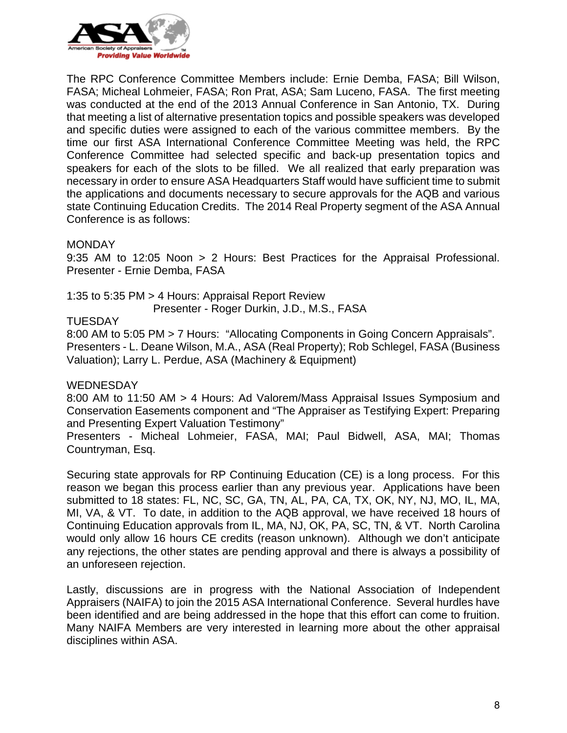

The RPC Conference Committee Members include: Ernie Demba, FASA; Bill Wilson, FASA; Micheal Lohmeier, FASA; Ron Prat, ASA; Sam Luceno, FASA. The first meeting was conducted at the end of the 2013 Annual Conference in San Antonio, TX. During that meeting a list of alternative presentation topics and possible speakers was developed and specific duties were assigned to each of the various committee members. By the time our first ASA International Conference Committee Meeting was held, the RPC Conference Committee had selected specific and back-up presentation topics and speakers for each of the slots to be filled. We all realized that early preparation was necessary in order to ensure ASA Headquarters Staff would have sufficient time to submit the applications and documents necessary to secure approvals for the AQB and various state Continuing Education Credits. The 2014 Real Property segment of the ASA Annual Conference is as follows:

#### MONDAY

9:35 AM to 12:05 Noon > 2 Hours: Best Practices for the Appraisal Professional. Presenter - Ernie Demba, FASA

1:35 to 5:35 PM > 4 Hours: Appraisal Report Review

Presenter - Roger Durkin, J.D., M.S., FASA

#### **TUESDAY**

8:00 AM to 5:05 PM > 7 Hours: "Allocating Components in Going Concern Appraisals". Presenters - L. Deane Wilson, M.A., ASA (Real Property); Rob Schlegel, FASA (Business Valuation); Larry L. Perdue, ASA (Machinery & Equipment)

#### **WEDNESDAY**

8:00 AM to 11:50 AM > 4 Hours: Ad Valorem/Mass Appraisal Issues Symposium and Conservation Easements component and "The Appraiser as Testifying Expert: Preparing and Presenting Expert Valuation Testimony"

Presenters - Micheal Lohmeier, FASA, MAI; Paul Bidwell, ASA, MAI; Thomas Countryman, Esq.

Securing state approvals for RP Continuing Education (CE) is a long process. For this reason we began this process earlier than any previous year. Applications have been submitted to 18 states: FL, NC, SC, GA, TN, AL, PA, CA, TX, OK, NY, NJ, MO, IL, MA, MI, VA, & VT. To date, in addition to the AQB approval, we have received 18 hours of Continuing Education approvals from IL, MA, NJ, OK, PA, SC, TN, & VT. North Carolina would only allow 16 hours CE credits (reason unknown). Although we don't anticipate any rejections, the other states are pending approval and there is always a possibility of an unforeseen rejection.

Lastly, discussions are in progress with the National Association of Independent Appraisers (NAIFA) to join the 2015 ASA International Conference. Several hurdles have been identified and are being addressed in the hope that this effort can come to fruition. Many NAIFA Members are very interested in learning more about the other appraisal disciplines within ASA.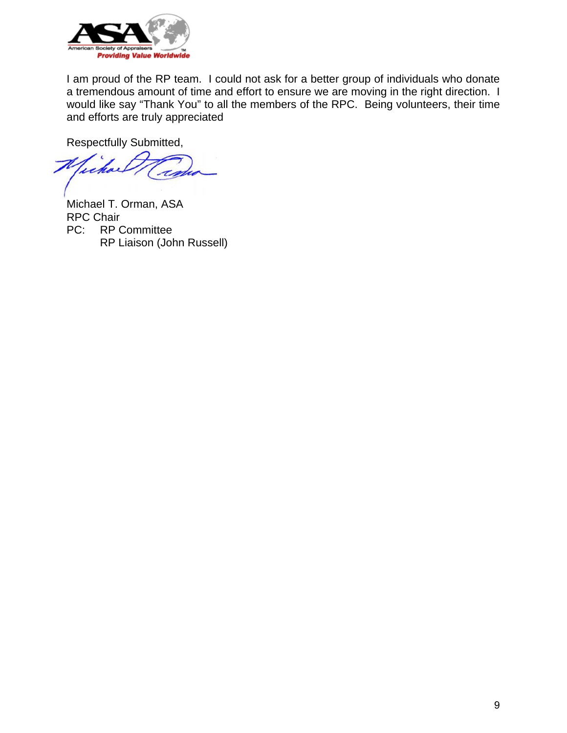

I am proud of the RP team. I could not ask for a better group of individuals who donate a tremendous amount of time and effort to ensure we are moving in the right direction. I would like say "Thank You" to all the members of the RPC. Being volunteers, their time and efforts are truly appreciated

Respectfully Submitted,

Michael T. Orman, ASA RPC Chair PC: RP Committee RP Liaison (John Russell)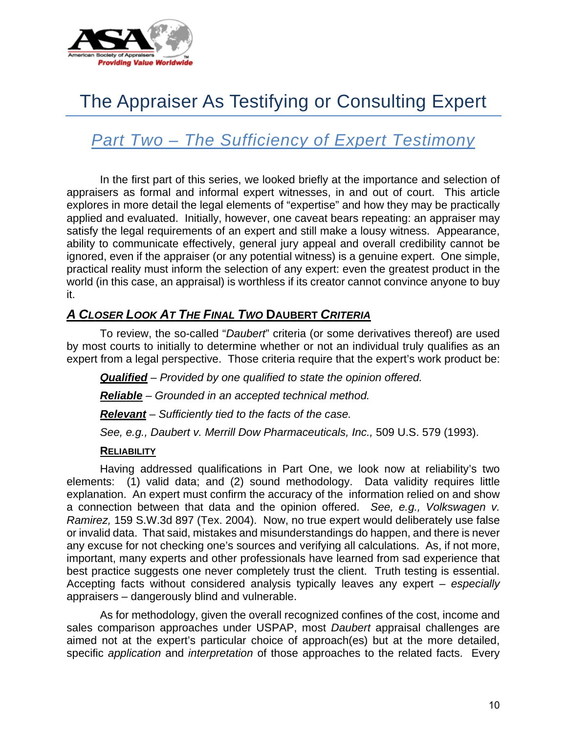

# The Appraiser As Testifying or Consulting Expert

# *Part Two – The Sufficiency of Expert Testimony*

 In the first part of this series, we looked briefly at the importance and selection of appraisers as formal and informal expert witnesses, in and out of court. This article explores in more detail the legal elements of "expertise" and how they may be practically applied and evaluated. Initially, however, one caveat bears repeating: an appraiser may satisfy the legal requirements of an expert and still make a lousy witness. Appearance, ability to communicate effectively, general jury appeal and overall credibility cannot be ignored, even if the appraiser (or any potential witness) is a genuine expert. One simple, practical reality must inform the selection of any expert: even the greatest product in the world (in this case, an appraisal) is worthless if its creator cannot convince anyone to buy it.

# *A CLOSER LOOK AT THE FINAL TWO* **DAUBERT** *CRITERIA*

 To review, the so-called "*Daubert*" criteria (or some derivatives thereof) are used by most courts to initially to determine whether or not an individual truly qualifies as an expert from a legal perspective. Those criteria require that the expert's work product be:

*Qualified* – *Provided by one qualified to state the opinion offered. Reliable* – *Grounded in an accepted technical method. Relevant* – *Sufficiently tied to the facts of the case. See, e.g., Daubert v. Merrill Dow Pharmaceuticals, Inc.,* 509 U.S. 579 (1993).

# **RELIABILITY**

 Having addressed qualifications in Part One, we look now at reliability's two elements: (1) valid data; and (2) sound methodology. Data validity requires little explanation. An expert must confirm the accuracy of the information relied on and show a connection between that data and the opinion offered. *See, e.g., Volkswagen v. Ramirez,* 159 S.W.3d 897 (Tex. 2004). Now, no true expert would deliberately use false or invalid data. That said, mistakes and misunderstandings do happen, and there is never any excuse for not checking one's sources and verifying all calculations. As, if not more, important, many experts and other professionals have learned from sad experience that best practice suggests one never completely trust the client. Truth testing is essential. Accepting facts without considered analysis typically leaves any expert – *especially* appraisers – dangerously blind and vulnerable.

 As for methodology, given the overall recognized confines of the cost, income and sales comparison approaches under USPAP, most *Daubert* appraisal challenges are aimed not at the expert's particular choice of approach(es) but at the more detailed, specific *application* and *interpretation* of those approaches to the related facts. Every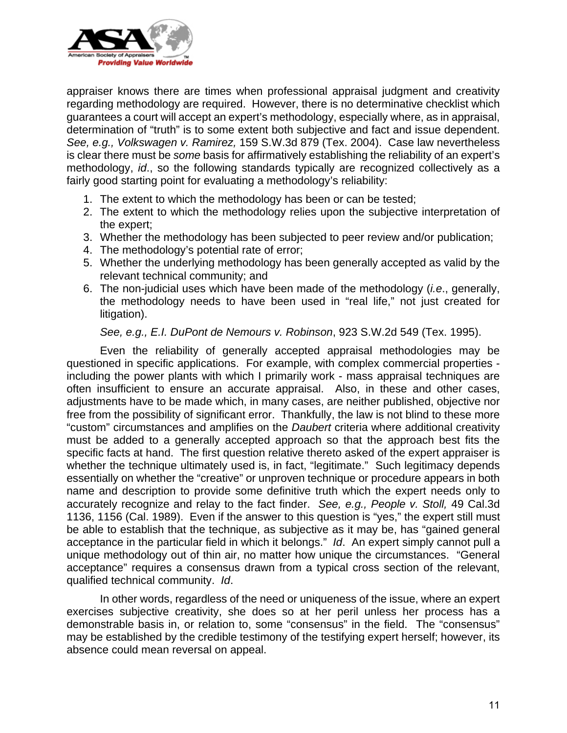

appraiser knows there are times when professional appraisal judgment and creativity regarding methodology are required. However, there is no determinative checklist which guarantees a court will accept an expert's methodology, especially where, as in appraisal, determination of "truth" is to some extent both subjective and fact and issue dependent. *See, e.g., Volkswagen v. Ramirez,* 159 S.W.3d 879 (Tex. 2004). Case law nevertheless is clear there must be *some* basis for affirmatively establishing the reliability of an expert's methodology, *id*., so the following standards typically are recognized collectively as a fairly good starting point for evaluating a methodology's reliability:

- 1. The extent to which the methodology has been or can be tested;
- 2. The extent to which the methodology relies upon the subjective interpretation of the expert;
- 3. Whether the methodology has been subjected to peer review and/or publication;
- 4. The methodology's potential rate of error;
- 5. Whether the underlying methodology has been generally accepted as valid by the relevant technical community; and
- 6. The non-judicial uses which have been made of the methodology (*i.e*., generally, the methodology needs to have been used in "real life," not just created for litigation).

 *See, e.g., E.I. DuPont de Nemours v. Robinson*, 923 S.W.2d 549 (Tex. 1995).

 Even the reliability of generally accepted appraisal methodologies may be questioned in specific applications. For example, with complex commercial properties including the power plants with which I primarily work - mass appraisal techniques are often insufficient to ensure an accurate appraisal. Also, in these and other cases, adjustments have to be made which, in many cases, are neither published, objective nor free from the possibility of significant error. Thankfully, the law is not blind to these more "custom" circumstances and amplifies on the *Daubert* criteria where additional creativity must be added to a generally accepted approach so that the approach best fits the specific facts at hand. The first question relative thereto asked of the expert appraiser is whether the technique ultimately used is, in fact, "legitimate." Such legitimacy depends essentially on whether the "creative" or unproven technique or procedure appears in both name and description to provide some definitive truth which the expert needs only to accurately recognize and relay to the fact finder. *See, e.g., People v. Stoll,* 49 Cal.3d 1136, 1156 (Cal. 1989). Even if the answer to this question is "yes," the expert still must be able to establish that the technique, as subjective as it may be, has "gained general acceptance in the particular field in which it belongs." *Id*. An expert simply cannot pull a unique methodology out of thin air, no matter how unique the circumstances. "General acceptance" requires a consensus drawn from a typical cross section of the relevant, qualified technical community. *Id*.

 In other words, regardless of the need or uniqueness of the issue, where an expert exercises subjective creativity, she does so at her peril unless her process has a demonstrable basis in, or relation to, some "consensus" in the field. The "consensus" may be established by the credible testimony of the testifying expert herself; however, its absence could mean reversal on appeal.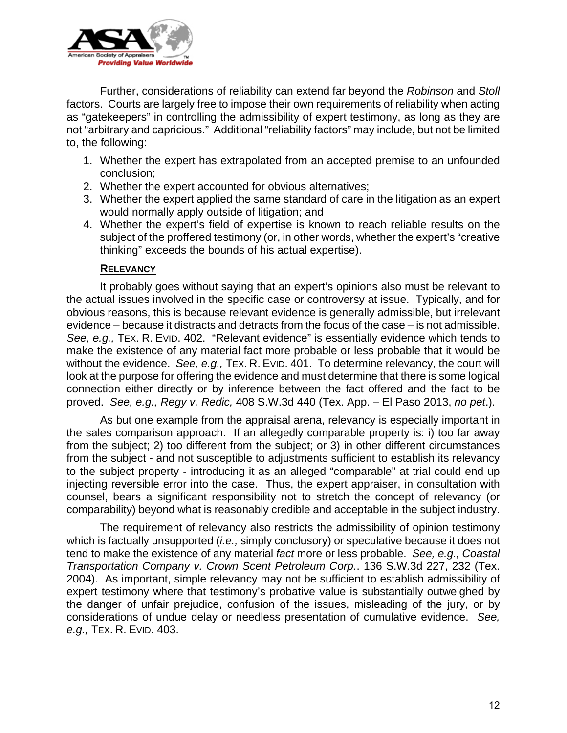

 Further, considerations of reliability can extend far beyond the *Robinson* and *Stoll* factors. Courts are largely free to impose their own requirements of reliability when acting as "gatekeepers" in controlling the admissibility of expert testimony, as long as they are not "arbitrary and capricious." Additional "reliability factors" may include, but not be limited to, the following:

- 1. Whether the expert has extrapolated from an accepted premise to an unfounded conclusion;
- 2. Whether the expert accounted for obvious alternatives;
- 3. Whether the expert applied the same standard of care in the litigation as an expert would normally apply outside of litigation; and
- 4. Whether the expert's field of expertise is known to reach reliable results on the subject of the proffered testimony (or, in other words, whether the expert's "creative thinking" exceeds the bounds of his actual expertise).

# **RELEVANCY**

 It probably goes without saying that an expert's opinions also must be relevant to the actual issues involved in the specific case or controversy at issue. Typically, and for obvious reasons, this is because relevant evidence is generally admissible, but irrelevant evidence – because it distracts and detracts from the focus of the case – is not admissible. *See, e.g.,* TEX. R. EVID. 402. "Relevant evidence" is essentially evidence which tends to make the existence of any material fact more probable or less probable that it would be without the evidence. *See, e.g.,* TEX. R. EVID. 401. To determine relevancy, the court will look at the purpose for offering the evidence and must determine that there is some logical connection either directly or by inference between the fact offered and the fact to be proved. *See, e.g., Regy v. Redic,* 408 S.W.3d 440 (Tex. App. – El Paso 2013, *no pet*.).

 As but one example from the appraisal arena, relevancy is especially important in the sales comparison approach. If an allegedly comparable property is: i) too far away from the subject; 2) too different from the subject; or 3) in other different circumstances from the subject - and not susceptible to adjustments sufficient to establish its relevancy to the subject property - introducing it as an alleged "comparable" at trial could end up injecting reversible error into the case. Thus, the expert appraiser, in consultation with counsel, bears a significant responsibility not to stretch the concept of relevancy (or comparability) beyond what is reasonably credible and acceptable in the subject industry.

 The requirement of relevancy also restricts the admissibility of opinion testimony which is factually unsupported (*i.e.,* simply conclusory) or speculative because it does not tend to make the existence of any material *fact* more or less probable. *See, e.g., Coastal Transportation Company v. Crown Scent Petroleum Corp.*. 136 S.W.3d 227, 232 (Tex. 2004). As important, simple relevancy may not be sufficient to establish admissibility of expert testimony where that testimony's probative value is substantially outweighed by the danger of unfair prejudice, confusion of the issues, misleading of the jury, or by considerations of undue delay or needless presentation of cumulative evidence. *See, e.g.,* TEX. R. EVID. 403.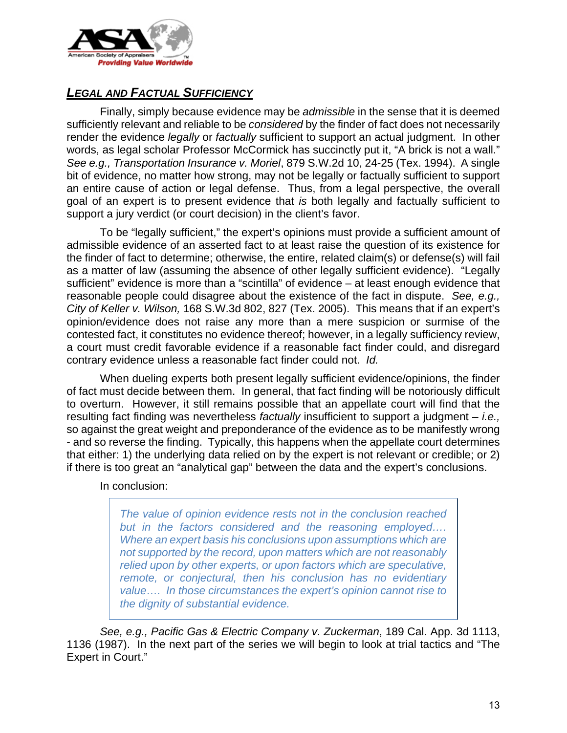

# *LEGAL AND FACTUAL SUFFICIENCY*

 Finally, simply because evidence may be *admissible* in the sense that it is deemed sufficiently relevant and reliable to be *considered* by the finder of fact does not necessarily render the evidence *legally* or *factually* sufficient to support an actual judgment. In other words, as legal scholar Professor McCormick has succinctly put it, "A brick is not a wall." *See e.g., Transportation Insurance v. Moriel*, 879 S.W.2d 10, 24-25 (Tex. 1994). A single bit of evidence, no matter how strong, may not be legally or factually sufficient to support an entire cause of action or legal defense. Thus, from a legal perspective, the overall goal of an expert is to present evidence that *is* both legally and factually sufficient to support a jury verdict (or court decision) in the client's favor.

 To be "legally sufficient," the expert's opinions must provide a sufficient amount of admissible evidence of an asserted fact to at least raise the question of its existence for the finder of fact to determine; otherwise, the entire, related claim(s) or defense(s) will fail as a matter of law (assuming the absence of other legally sufficient evidence). "Legally sufficient" evidence is more than a "scintilla" of evidence – at least enough evidence that reasonable people could disagree about the existence of the fact in dispute. *See, e.g., City of Keller v. Wilson,* 168 S.W.3d 802, 827 (Tex. 2005). This means that if an expert's opinion/evidence does not raise any more than a mere suspicion or surmise of the contested fact, it constitutes no evidence thereof; however, in a legally sufficiency review, a court must credit favorable evidence if a reasonable fact finder could, and disregard contrary evidence unless a reasonable fact finder could not. *Id.*

 When dueling experts both present legally sufficient evidence/opinions, the finder of fact must decide between them. In general, that fact finding will be notoriously difficult to overturn. However, it still remains possible that an appellate court will find that the resulting fact finding was nevertheless *factually* insufficient to support a judgment – *i.e.,*  so against the great weight and preponderance of the evidence as to be manifestly wrong - and so reverse the finding. Typically, this happens when the appellate court determines that either: 1) the underlying data relied on by the expert is not relevant or credible; or 2) if there is too great an "analytical gap" between the data and the expert's conclusions.

In conclusion:

*The value of opinion evidence rests not in the conclusion reached but in the factors considered and the reasoning employed…. Where an expert basis his conclusions upon assumptions which are not supported by the record, upon matters which are not reasonably relied upon by other experts, or upon factors which are speculative, remote, or conjectural, then his conclusion has no evidentiary value…. In those circumstances the expert's opinion cannot rise to the dignity of substantial evidence.* 

*See, e.g., Pacific Gas & Electric Company v. Zuckerman*, 189 Cal. App. 3d 1113, 1136 (1987). In the next part of the series we will begin to look at trial tactics and "The Expert in Court."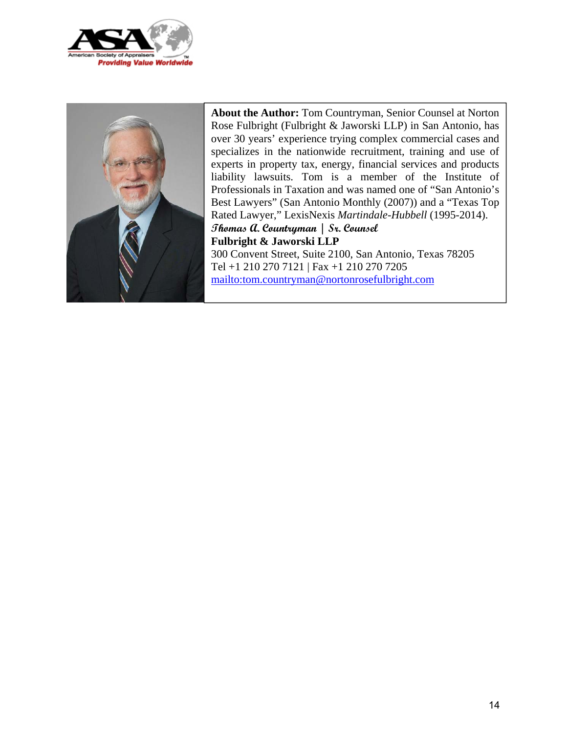



**About the Author:** Tom Countryman, Senior Counsel at Norton Rose Fulbright (Fulbright & Jaworski LLP) in San Antonio, has over 30 years' experience trying complex commercial cases and specializes in the nationwide recruitment, training and use of experts in property tax, energy, financial services and products liability lawsuits. Tom is a member of the Institute of Professionals in Taxation and was named one of "San Antonio's Best Lawyers" (San Antonio Monthly (2007)) and a "Texas Top Rated Lawyer," LexisNexis *Martindale-Hubbell* (1995-2014). **Thomas A. Countryman | Sr. Counsel Fulbright & Jaworski LLP**  300 Convent Street, Suite 2100, San Antonio, Texas 78205

Tel +1 210 270 7121 | Fax +1 210 270 7205 mailto:tom.countryman@nortonrosefulbright.com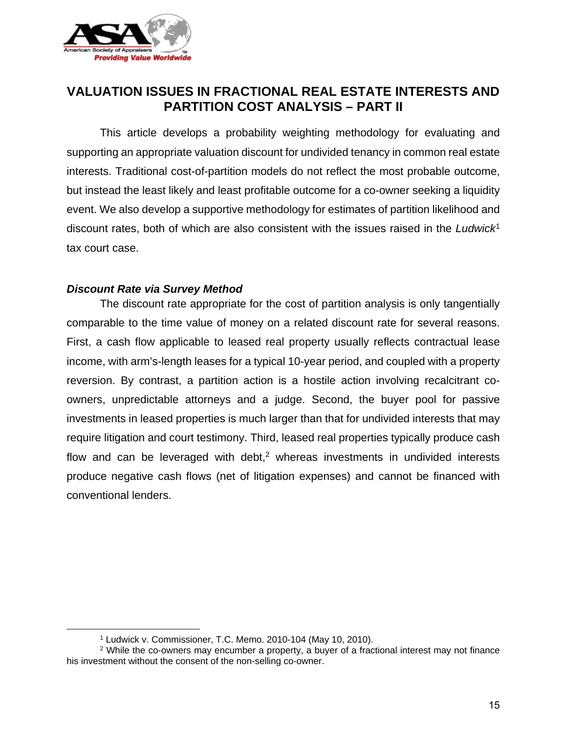

# **VALUATION ISSUES IN FRACTIONAL REAL ESTATE INTERESTS AND PARTITION COST ANALYSIS – PART II**

This article develops a probability weighting methodology for evaluating and supporting an appropriate valuation discount for undivided tenancy in common real estate interests. Traditional cost-of-partition models do not reflect the most probable outcome, but instead the least likely and least profitable outcome for a co-owner seeking a liquidity event. We also develop a supportive methodology for estimates of partition likelihood and discount rates, both of which are also consistent with the issues raised in the *Ludwick*<sup>1</sup> tax court case.

## *Discount Rate via Survey Method*

 $\overline{a}$ 

 The discount rate appropriate for the cost of partition analysis is only tangentially comparable to the time value of money on a related discount rate for several reasons. First, a cash flow applicable to leased real property usually reflects contractual lease income, with arm's-length leases for a typical 10-year period, and coupled with a property reversion. By contrast, a partition action is a hostile action involving recalcitrant coowners, unpredictable attorneys and a judge. Second, the buyer pool for passive investments in leased properties is much larger than that for undivided interests that may require litigation and court testimony. Third, leased real properties typically produce cash flow and can be leveraged with debt, $2$  whereas investments in undivided interests produce negative cash flows (net of litigation expenses) and cannot be financed with conventional lenders.

<sup>1</sup> Ludwick v. Commissioner, T.C. Memo. 2010-104 (May 10, 2010).

<sup>&</sup>lt;sup>2</sup> While the co-owners may encumber a property, a buyer of a fractional interest may not finance his investment without the consent of the non-selling co-owner.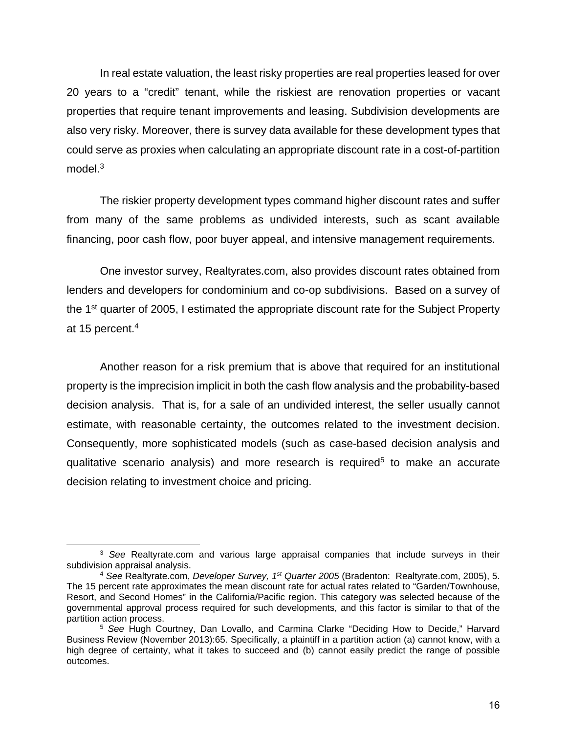In real estate valuation, the least risky properties are real properties leased for over 20 years to a "credit" tenant, while the riskiest are renovation properties or vacant properties that require tenant improvements and leasing. Subdivision developments are also very risky. Moreover, there is survey data available for these development types that could serve as proxies when calculating an appropriate discount rate in a cost-of-partition model.<sup>3</sup>

The riskier property development types command higher discount rates and suffer from many of the same problems as undivided interests, such as scant available financing, poor cash flow, poor buyer appeal, and intensive management requirements.

One investor survey, Realtyrates.com, also provides discount rates obtained from lenders and developers for condominium and co-op subdivisions. Based on a survey of the 1st quarter of 2005, I estimated the appropriate discount rate for the Subject Property at 15 percent.4

Another reason for a risk premium that is above that required for an institutional property is the imprecision implicit in both the cash flow analysis and the probability-based decision analysis. That is, for a sale of an undivided interest, the seller usually cannot estimate, with reasonable certainty, the outcomes related to the investment decision. Consequently, more sophisticated models (such as case-based decision analysis and qualitative scenario analysis) and more research is required<sup>5</sup> to make an accurate decision relating to investment choice and pricing.

1

<sup>3</sup> *See* Realtyrate.com and various large appraisal companies that include surveys in their subdivision appraisal analysis.

<sup>4</sup> *See* Realtyrate.com, *Developer Survey, 1st Quarter 2005* (Bradenton: Realtyrate.com, 2005), 5. The 15 percent rate approximates the mean discount rate for actual rates related to "Garden/Townhouse, Resort, and Second Homes" in the California/Pacific region. This category was selected because of the governmental approval process required for such developments, and this factor is similar to that of the partition action process.

<sup>5</sup> *See* Hugh Courtney, Dan Lovallo, and Carmina Clarke "Deciding How to Decide," Harvard Business Review (November 2013):65. Specifically, a plaintiff in a partition action (a) cannot know, with a high degree of certainty, what it takes to succeed and (b) cannot easily predict the range of possible outcomes.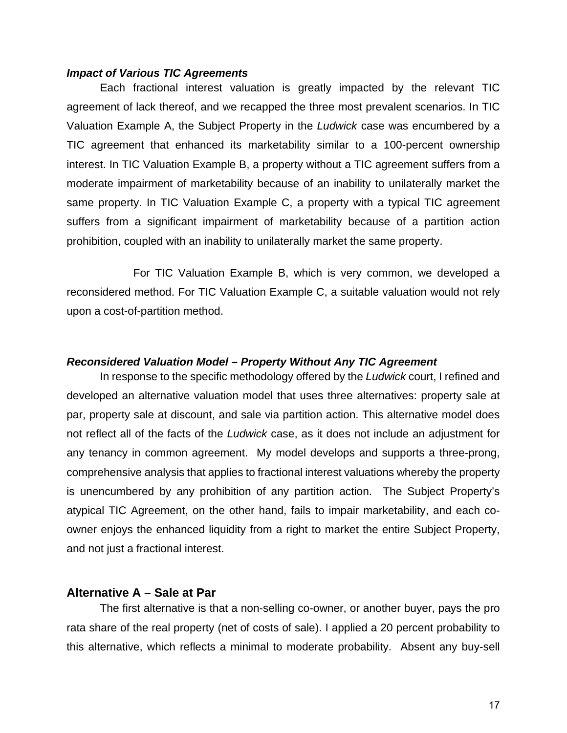#### *Impact of Various TIC Agreements*

Each fractional interest valuation is greatly impacted by the relevant TIC agreement of lack thereof, and we recapped the three most prevalent scenarios. In TIC Valuation Example A, the Subject Property in the *Ludwick* case was encumbered by a TIC agreement that enhanced its marketability similar to a 100-percent ownership interest. In TIC Valuation Example B, a property without a TIC agreement suffers from a moderate impairment of marketability because of an inability to unilaterally market the same property. In TIC Valuation Example C, a property with a typical TIC agreement suffers from a significant impairment of marketability because of a partition action prohibition, coupled with an inability to unilaterally market the same property.

 For TIC Valuation Example B, which is very common, we developed a reconsidered method. For TIC Valuation Example C, a suitable valuation would not rely upon a cost-of-partition method.

#### *Reconsidered Valuation Model – Property Without Any TIC Agreement*

In response to the specific methodology offered by the *Ludwick* court, I refined and developed an alternative valuation model that uses three alternatives: property sale at par, property sale at discount, and sale via partition action. This alternative model does not reflect all of the facts of the *Ludwick* case, as it does not include an adjustment for any tenancy in common agreement. My model develops and supports a three-prong, comprehensive analysis that applies to fractional interest valuations whereby the property is unencumbered by any prohibition of any partition action. The Subject Property's atypical TIC Agreement, on the other hand, fails to impair marketability, and each coowner enjoys the enhanced liquidity from a right to market the entire Subject Property, and not just a fractional interest.

#### **Alternative A – Sale at Par**

The first alternative is that a non-selling co-owner, or another buyer, pays the pro rata share of the real property (net of costs of sale). I applied a 20 percent probability to this alternative, which reflects a minimal to moderate probability. Absent any buy-sell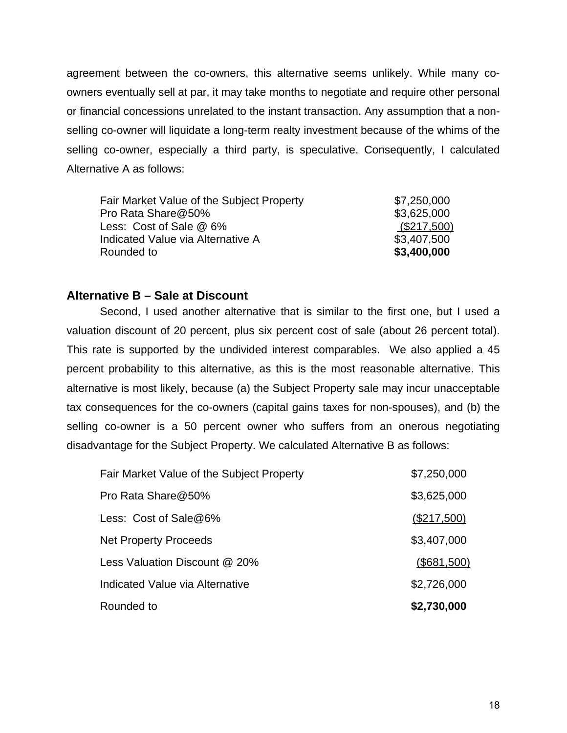agreement between the co-owners, this alternative seems unlikely. While many coowners eventually sell at par, it may take months to negotiate and require other personal or financial concessions unrelated to the instant transaction. Any assumption that a nonselling co-owner will liquidate a long-term realty investment because of the whims of the selling co-owner, especially a third party, is speculative. Consequently, I calculated Alternative A as follows:

| Fair Market Value of the Subject Property | \$7,250,000 |
|-------------------------------------------|-------------|
| Pro Rata Share@50%                        | \$3,625,000 |
| Less: Cost of Sale @ 6%                   | (\$217,500) |
| Indicated Value via Alternative A         | \$3,407,500 |
| Rounded to                                | \$3,400,000 |

# **Alternative B – Sale at Discount**

Second, I used another alternative that is similar to the first one, but I used a valuation discount of 20 percent, plus six percent cost of sale (about 26 percent total). This rate is supported by the undivided interest comparables. We also applied a 45 percent probability to this alternative, as this is the most reasonable alternative. This alternative is most likely, because (a) the Subject Property sale may incur unacceptable tax consequences for the co-owners (capital gains taxes for non-spouses), and (b) the selling co-owner is a 50 percent owner who suffers from an onerous negotiating disadvantage for the Subject Property. We calculated Alternative B as follows:

| Rounded to                                | \$2,730,000 |
|-------------------------------------------|-------------|
| Indicated Value via Alternative           | \$2,726,000 |
| Less Valuation Discount @ 20%             | (\$681,500) |
| <b>Net Property Proceeds</b>              | \$3,407,000 |
| Less: $Cost of Sale@6%$                   | (\$217,500) |
| Pro Rata Share@50%                        | \$3,625,000 |
| Fair Market Value of the Subject Property | \$7,250,000 |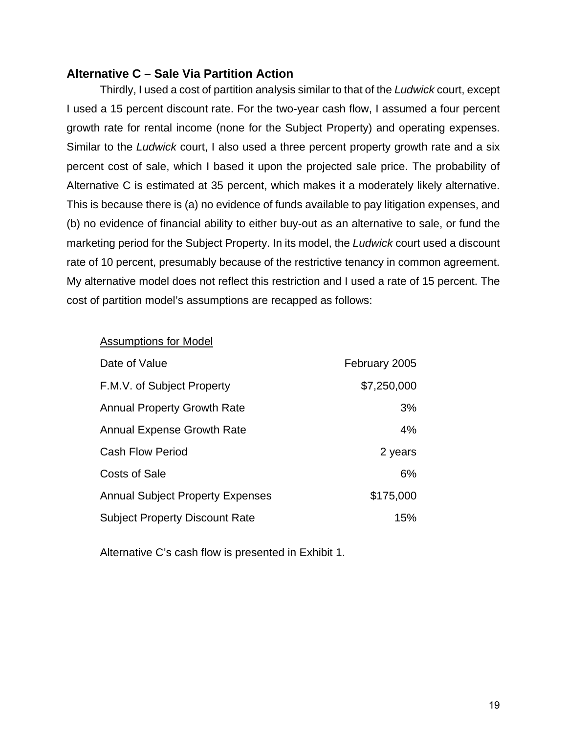# **Alternative C – Sale Via Partition Action**

Thirdly, I used a cost of partition analysis similar to that of the *Ludwick* court, except I used a 15 percent discount rate. For the two-year cash flow, I assumed a four percent growth rate for rental income (none for the Subject Property) and operating expenses. Similar to the *Ludwick* court, I also used a three percent property growth rate and a six percent cost of sale, which I based it upon the projected sale price. The probability of Alternative C is estimated at 35 percent, which makes it a moderately likely alternative. This is because there is (a) no evidence of funds available to pay litigation expenses, and (b) no evidence of financial ability to either buy-out as an alternative to sale, or fund the marketing period for the Subject Property. In its model, the *Ludwick* court used a discount rate of 10 percent, presumably because of the restrictive tenancy in common agreement. My alternative model does not reflect this restriction and I used a rate of 15 percent. The cost of partition model's assumptions are recapped as follows:

#### Assumptions for Model

| Date of Value                           | February 2005 |
|-----------------------------------------|---------------|
| F.M.V. of Subject Property              | \$7,250,000   |
| <b>Annual Property Growth Rate</b>      | 3%            |
| <b>Annual Expense Growth Rate</b>       | 4%            |
| <b>Cash Flow Period</b>                 | 2 years       |
| Costs of Sale                           | 6%            |
| <b>Annual Subject Property Expenses</b> | \$175,000     |
| <b>Subject Property Discount Rate</b>   | 15%           |

Alternative C's cash flow is presented in Exhibit 1.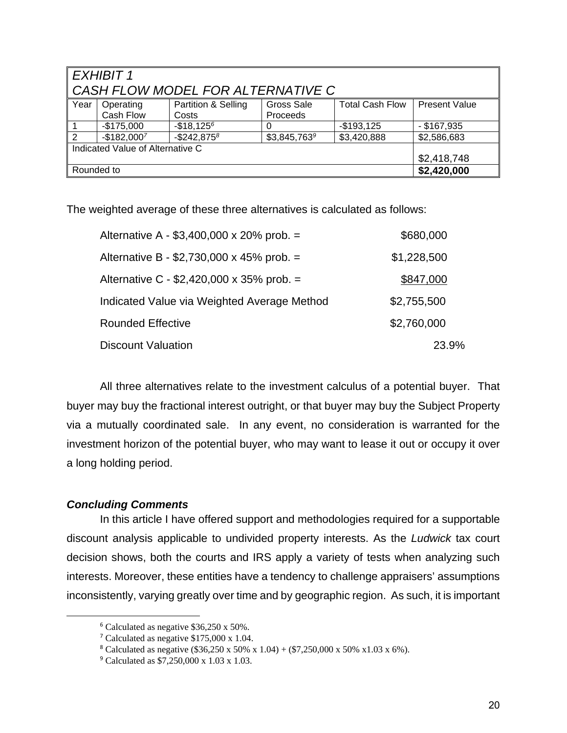| EXHIBIT 1<br>l CASH FLOW MODEL FOR ALTERNATIVE C                                                                                           |              |                   |              |             |               |  |
|--------------------------------------------------------------------------------------------------------------------------------------------|--------------|-------------------|--------------|-------------|---------------|--|
| <b>Total Cash Flow</b><br>Year<br>Partition & Selling<br>Gross Sale<br><b>Present Value</b><br>Operating<br>Cash Flow<br>Proceeds<br>Costs |              |                   |              |             |               |  |
| $\vert$ 1                                                                                                                                  | $-$175,000$  | $-$18,125^6$      |              | $-$193,125$ | $-$ \$167,935 |  |
| $\sqrt{2}$                                                                                                                                 | $-$182,0007$ | $-$ \$242,875 $8$ | \$3,845,7639 | \$3,420,888 | \$2,586,683   |  |
| Indicated Value of Alternative C                                                                                                           |              |                   |              |             |               |  |
|                                                                                                                                            |              |                   |              | \$2,418,748 |               |  |
| Rounded to                                                                                                                                 |              |                   | \$2,420,000  |             |               |  |

The weighted average of these three alternatives is calculated as follows:

| Alternative A - \$3,400,000 x 20% prob. =   | \$680,000   |
|---------------------------------------------|-------------|
| Alternative B - \$2,730,000 x 45% prob. =   | \$1,228,500 |
| Alternative C - \$2,420,000 x 35% prob. =   | \$847,000   |
| Indicated Value via Weighted Average Method | \$2,755,500 |
| <b>Rounded Effective</b>                    | \$2,760,000 |
| <b>Discount Valuation</b>                   | 23.9%       |

 All three alternatives relate to the investment calculus of a potential buyer. That buyer may buy the fractional interest outright, or that buyer may buy the Subject Property via a mutually coordinated sale. In any event, no consideration is warranted for the investment horizon of the potential buyer, who may want to lease it out or occupy it over a long holding period.

# *Concluding Comments*

 $\overline{a}$ 

 In this article I have offered support and methodologies required for a supportable discount analysis applicable to undivided property interests. As the *Ludwick* tax court decision shows, both the courts and IRS apply a variety of tests when analyzing such interests. Moreover, these entities have a tendency to challenge appraisers' assumptions inconsistently, varying greatly over time and by geographic region. As such, it is important

<sup>6</sup> Calculated as negative \$36,250 x 50%.

<sup>7</sup> Calculated as negative \$175,000 x 1.04.

<sup>&</sup>lt;sup>8</sup> Calculated as negative (\$36,250 x 50% x 1.04) + (\$7,250,000 x 50% x 1.03 x 6%).

<sup>9</sup> Calculated as \$7,250,000 x 1.03 x 1.03.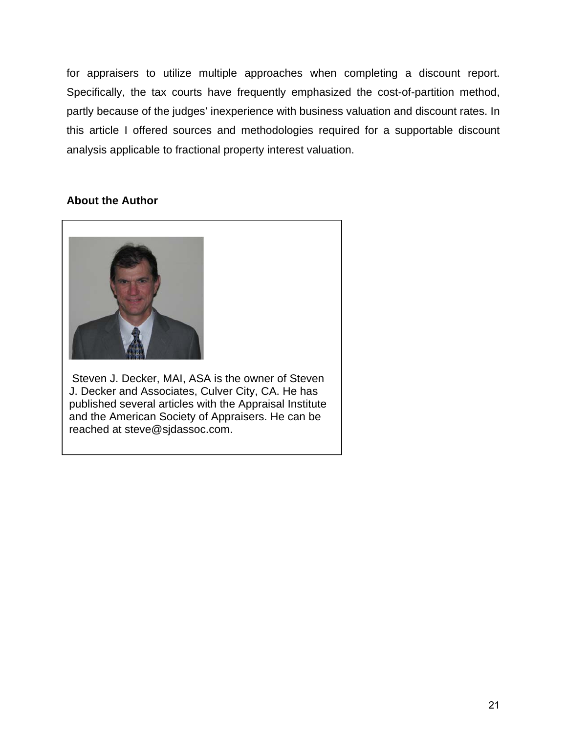for appraisers to utilize multiple approaches when completing a discount report. Specifically, the tax courts have frequently emphasized the cost-of-partition method, partly because of the judges' inexperience with business valuation and discount rates. In this article I offered sources and methodologies required for a supportable discount analysis applicable to fractional property interest valuation.

# **About the Author**



 Steven J. Decker, MAI, ASA is the owner of Steven J. Decker and Associates, Culver City, CA. He has published several articles with the Appraisal Institute and the American Society of Appraisers. He can be reached at steve@sjdassoc.com.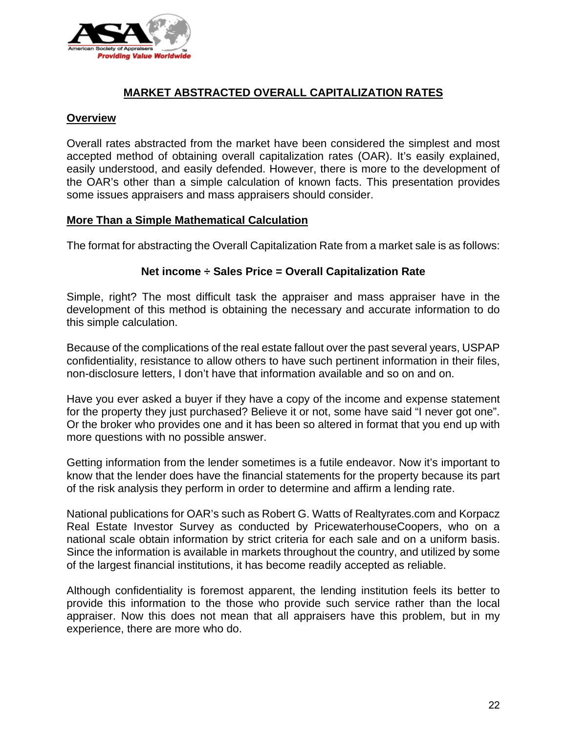

# **MARKET ABSTRACTED OVERALL CAPITALIZATION RATES**

## **Overview**

Overall rates abstracted from the market have been considered the simplest and most accepted method of obtaining overall capitalization rates (OAR). It's easily explained, easily understood, and easily defended. However, there is more to the development of the OAR's other than a simple calculation of known facts. This presentation provides some issues appraisers and mass appraisers should consider.

## **More Than a Simple Mathematical Calculation**

The format for abstracting the Overall Capitalization Rate from a market sale is as follows:

## **Net income ÷ Sales Price = Overall Capitalization Rate**

Simple, right? The most difficult task the appraiser and mass appraiser have in the development of this method is obtaining the necessary and accurate information to do this simple calculation.

Because of the complications of the real estate fallout over the past several years, USPAP confidentiality, resistance to allow others to have such pertinent information in their files, non-disclosure letters, I don't have that information available and so on and on.

Have you ever asked a buyer if they have a copy of the income and expense statement for the property they just purchased? Believe it or not, some have said "I never got one". Or the broker who provides one and it has been so altered in format that you end up with more questions with no possible answer.

Getting information from the lender sometimes is a futile endeavor. Now it's important to know that the lender does have the financial statements for the property because its part of the risk analysis they perform in order to determine and affirm a lending rate.

National publications for OAR's such as Robert G. Watts of Realtyrates.com and Korpacz Real Estate Investor Survey as conducted by PricewaterhouseCoopers, who on a national scale obtain information by strict criteria for each sale and on a uniform basis. Since the information is available in markets throughout the country, and utilized by some of the largest financial institutions, it has become readily accepted as reliable.

Although confidentiality is foremost apparent, the lending institution feels its better to provide this information to the those who provide such service rather than the local appraiser. Now this does not mean that all appraisers have this problem, but in my experience, there are more who do.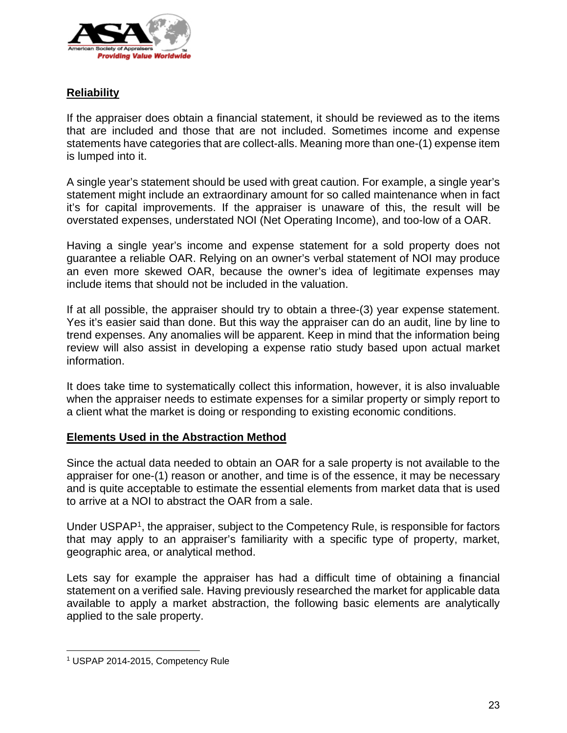

# **Reliability**

If the appraiser does obtain a financial statement, it should be reviewed as to the items that are included and those that are not included. Sometimes income and expense statements have categories that are collect-alls. Meaning more than one-(1) expense item is lumped into it.

A single year's statement should be used with great caution. For example, a single year's statement might include an extraordinary amount for so called maintenance when in fact it's for capital improvements. If the appraiser is unaware of this, the result will be overstated expenses, understated NOI (Net Operating Income), and too-low of a OAR.

Having a single year's income and expense statement for a sold property does not guarantee a reliable OAR. Relying on an owner's verbal statement of NOI may produce an even more skewed OAR, because the owner's idea of legitimate expenses may include items that should not be included in the valuation.

If at all possible, the appraiser should try to obtain a three-(3) year expense statement. Yes it's easier said than done. But this way the appraiser can do an audit, line by line to trend expenses. Any anomalies will be apparent. Keep in mind that the information being review will also assist in developing a expense ratio study based upon actual market information.

It does take time to systematically collect this information, however, it is also invaluable when the appraiser needs to estimate expenses for a similar property or simply report to a client what the market is doing or responding to existing economic conditions.

# **Elements Used in the Abstraction Method**

Since the actual data needed to obtain an OAR for a sale property is not available to the appraiser for one-(1) reason or another, and time is of the essence, it may be necessary and is quite acceptable to estimate the essential elements from market data that is used to arrive at a NOI to abstract the OAR from a sale.

Under USPAP1, the appraiser, subject to the Competency Rule, is responsible for factors that may apply to an appraiser's familiarity with a specific type of property, market, geographic area, or analytical method.

Lets say for example the appraiser has had a difficult time of obtaining a financial statement on a verified sale. Having previously researched the market for applicable data available to apply a market abstraction, the following basic elements are analytically applied to the sale property.

 $\overline{a}$ 

<sup>1</sup> USPAP 2014-2015, Competency Rule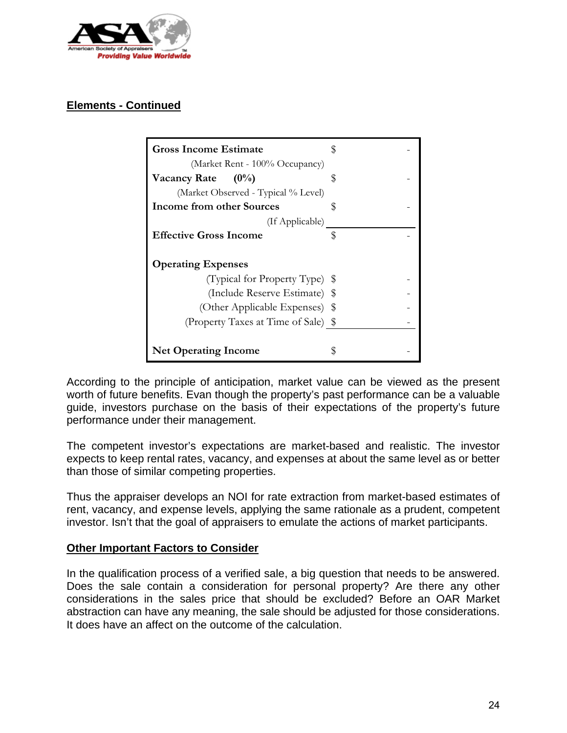

# **Elements - Continued**

| <b>Gross Income Estimate</b>        |  |
|-------------------------------------|--|
| (Market Rent - 100% Occupancy)      |  |
| Vacancy Rate $(0\%)$                |  |
| (Market Observed - Typical % Level) |  |
| <b>Income from other Sources</b>    |  |
| (If Applicable)                     |  |
| <b>Effective Gross Income</b>       |  |
| <b>Operating Expenses</b>           |  |
| (Typical for Property Type) \$      |  |
| (Include Reserve Estimate) \$       |  |
| (Other Applicable Expenses) \$      |  |
| (Property Taxes at Time of Sale) \$ |  |
|                                     |  |
| <b>Net Operating Income</b>         |  |

According to the principle of anticipation, market value can be viewed as the present worth of future benefits. Evan though the property's past performance can be a valuable guide, investors purchase on the basis of their expectations of the property's future performance under their management.

The competent investor's expectations are market-based and realistic. The investor expects to keep rental rates, vacancy, and expenses at about the same level as or better than those of similar competing properties.

Thus the appraiser develops an NOI for rate extraction from market-based estimates of rent, vacancy, and expense levels, applying the same rationale as a prudent, competent investor. Isn't that the goal of appraisers to emulate the actions of market participants.

#### **Other Important Factors to Consider**

In the qualification process of a verified sale, a big question that needs to be answered. Does the sale contain a consideration for personal property? Are there any other considerations in the sales price that should be excluded? Before an OAR Market abstraction can have any meaning, the sale should be adjusted for those considerations. It does have an affect on the outcome of the calculation.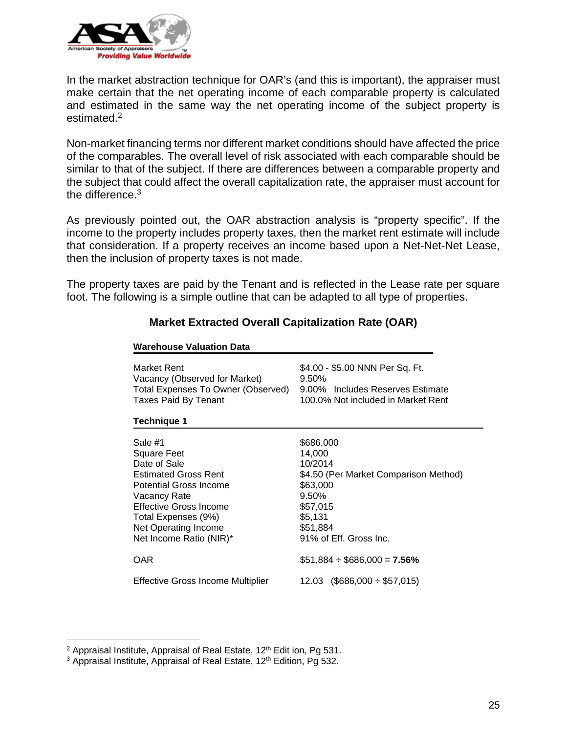

In the market abstraction technique for OAR's (and this is important), the appraiser must make certain that the net operating income of each comparable property is calculated and estimated in the same way the net operating income of the subject property is estimated.<sup>2</sup>

Non-market financing terms nor different market conditions should have affected the price of the comparables. The overall level of risk associated with each comparable should be similar to that of the subject. If there are differences between a comparable property and the subject that could affect the overall capitalization rate, the appraiser must account for the difference.<sup>3</sup>

As previously pointed out, the OAR abstraction analysis is "property specific". If the income to the property includes property taxes, then the market rent estimate will include that consideration. If a property receives an income based upon a Net-Net-Net Lease, then the inclusion of property taxes is not made.

The property taxes are paid by the Tenant and is reflected in the Lease rate per square foot. The following is a simple outline that can be adapted to all type of properties.

**Market Extracted Overall Capitalization Rate (OAR)**

| Market Rent<br>Vacancy (Observed for Market)<br>Total Expenses To Owner (Observed)<br><b>Taxes Paid By Tenant</b><br><b>Technique 1</b>                                                                                    | \$4.00 - \$5.00 NNN Per Sq. Ft.<br>9.50%<br>9.00% Includes Reserves Estimate<br>100.0% Not included in Market Rent                                        |
|----------------------------------------------------------------------------------------------------------------------------------------------------------------------------------------------------------------------------|-----------------------------------------------------------------------------------------------------------------------------------------------------------|
| Sale #1<br><b>Square Feet</b><br>Date of Sale<br><b>Estimated Gross Rent</b><br>Potential Gross Income<br>Vacancy Rate<br>Effective Gross Income<br>Total Expenses (9%)<br>Net Operating Income<br>Net Income Ratio (NIR)* | \$686,000<br>14,000<br>10/2014<br>\$4.50 (Per Market Comparison Method)<br>\$63,000<br>9.50%<br>\$57,015<br>\$5,131<br>\$51,884<br>91% of Eff. Gross Inc. |
| <b>OAR</b><br><b>Effective Gross Income Multiplier</b>                                                                                                                                                                     | $$51,884 \div $686,000 = 7.56\%$<br>$(\$686,000 \div \$57,015)$<br>12.03                                                                                  |

# **Warehouse Valuation Data**

 $\overline{a}$ 

<sup>&</sup>lt;sup>2</sup> Appraisal Institute, Appraisal of Real Estate, 12<sup>th</sup> Edit ion, Pg 531.

<sup>&</sup>lt;sup>3</sup> Appraisal Institute, Appraisal of Real Estate, 12<sup>th</sup> Edition, Pg 532.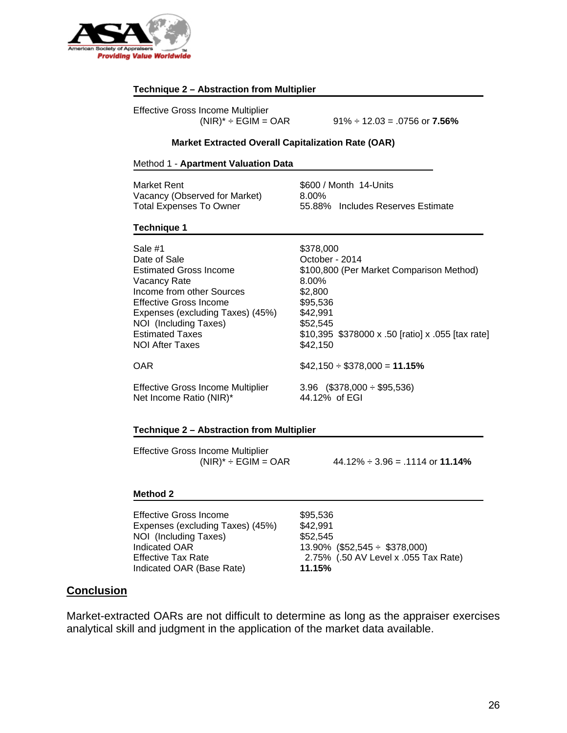

#### **Technique 2 – Abstraction from Multiplier**

Effective Gross Income Multiplier

(NIR)\* ÷ EGIM = OAR 91% ÷ 12.03 = .0756 or **7.56%**

#### **Market Extracted Overall Capitalization Rate (OAR)**

#### Method 1 - **Apartment Valuation Data**

| Market Rent                   | \$600 / Month 14-Units            |
|-------------------------------|-----------------------------------|
| Vacancy (Observed for Market) | 8.00%                             |
| Total Expenses To Owner       | 55.88% Includes Reserves Estimate |

#### **Technique 1**

| Sale #1                                  | \$378,000                                         |
|------------------------------------------|---------------------------------------------------|
| Date of Sale                             | October - 2014                                    |
| <b>Estimated Gross Income</b>            | \$100,800 (Per Market Comparison Method)          |
| Vacancy Rate                             | $8.00\%$                                          |
| Income from other Sources                | \$2,800                                           |
| <b>Effective Gross Income</b>            | \$95,536                                          |
| Expenses (excluding Taxes) (45%)         | \$42,991                                          |
| NOI (Including Taxes)                    | \$52,545                                          |
| <b>Estimated Taxes</b>                   | \$10,395 \$378000 x .50 [ratio] x .055 [tax rate] |
| <b>NOI After Taxes</b>                   | \$42,150                                          |
| <b>OAR</b>                               | $$42,150 \div $378,000 = 11.15\%$                 |
| <b>Effective Gross Income Multiplier</b> | $3.96$ (\$378,000 ÷ \$95,536)                     |
| Net Income Ratio (NIR)*                  | 44.12% of EGI                                     |

#### **Technique 2 – Abstraction from Multiplier**

Effective Gross Income Multiplier

 $(NIR)^* \div EGM = OAR$  44.12%  $\div$  3.96 = .1114 or **11.14%** 

#### **Method 2**

Effective Gross Income \$95,536 Expenses (excluding Taxes) (45%) \$42,991 NOI (Including Taxes) \$52,545 Indicated OAR 13.90% (\$52,545 ÷ \$378,000) Indicated OAR (Base Rate) **11.15%**

Effective Tax Rate 2.75% (.50 AV Level x .055 Tax Rate)

## **Conclusion**

Market-extracted OARs are not difficult to determine as long as the appraiser exercises analytical skill and judgment in the application of the market data available.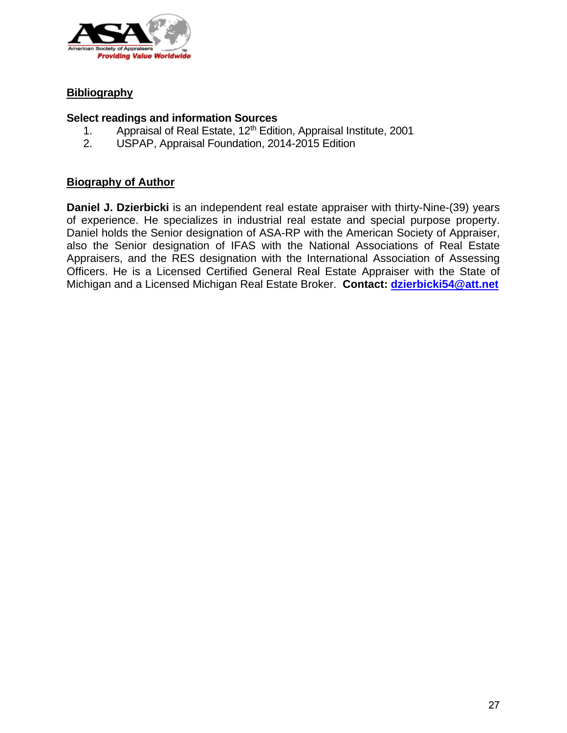

# **Bibliography**

# **Select readings and information Sources**

- 1. Appraisal of Real Estate, 12<sup>th</sup> Edition, Appraisal Institute, 2001
- 2. USPAP, Appraisal Foundation, 2014-2015 Edition

# **Biography of Author**

**Daniel J. Dzierbicki** is an independent real estate appraiser with thirty-Nine-(39) years of experience. He specializes in industrial real estate and special purpose property. Daniel holds the Senior designation of ASA-RP with the American Society of Appraiser, also the Senior designation of IFAS with the National Associations of Real Estate Appraisers, and the RES designation with the International Association of Assessing Officers. He is a Licensed Certified General Real Estate Appraiser with the State of Michigan and a Licensed Michigan Real Estate Broker. **Contact: dzierbicki54@att.net**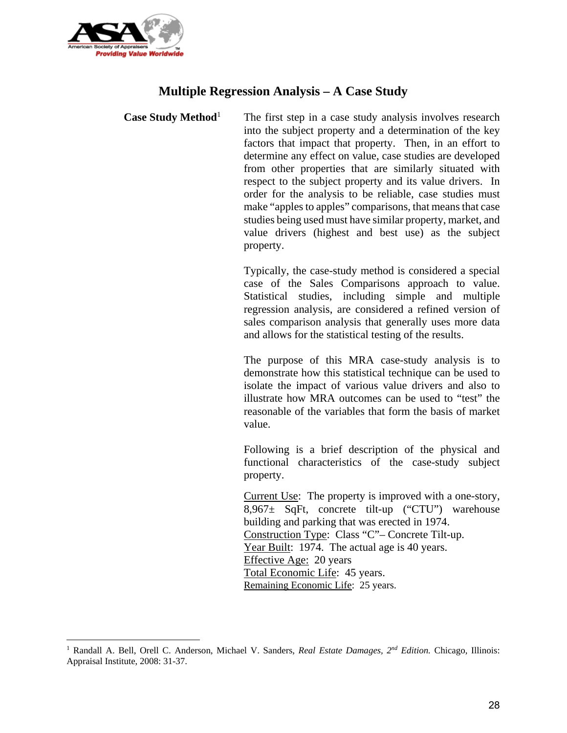

 $\overline{a}$ 

# **Multiple Regression Analysis – A Case Study**

**Case Study Method**<sup>1</sup> The first step in a case study analysis involves research into the subject property and a determination of the key factors that impact that property. Then, in an effort to determine any effect on value, case studies are developed from other properties that are similarly situated with respect to the subject property and its value drivers. In order for the analysis to be reliable, case studies must make "apples to apples" comparisons, that means that case studies being used must have similar property, market, and value drivers (highest and best use) as the subject property.

> Typically, the case-study method is considered a special case of the Sales Comparisons approach to value. Statistical studies, including simple and multiple regression analysis, are considered a refined version of sales comparison analysis that generally uses more data and allows for the statistical testing of the results.

> The purpose of this MRA case-study analysis is to demonstrate how this statistical technique can be used to isolate the impact of various value drivers and also to illustrate how MRA outcomes can be used to "test" the reasonable of the variables that form the basis of market value.

> Following is a brief description of the physical and functional characteristics of the case-study subject property.

> Current Use: The property is improved with a one-story, 8,967± SqFt, concrete tilt-up ("CTU") warehouse building and parking that was erected in 1974. Construction Type: Class "C"– Concrete Tilt-up. Year Built: 1974. The actual age is 40 years. Effective Age: 20 years Total Economic Life: 45 years. Remaining Economic Life: 25 years.

<sup>&</sup>lt;sup>1</sup> Randall A. Bell, Orell C. Anderson, Michael V. Sanders, *Real Estate Damages*, 2<sup>nd</sup> Edition. Chicago, Illinois: Appraisal Institute, 2008: 31-37.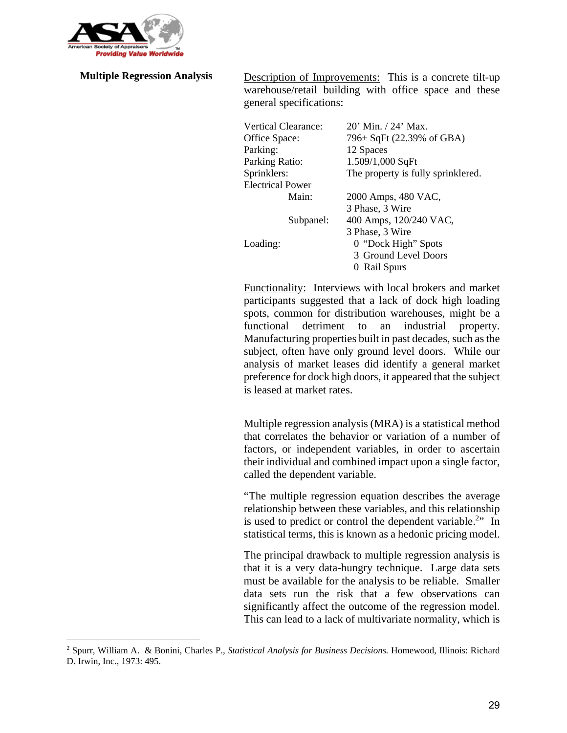

1

**Multiple Regression Analysis** Description of Improvements: This is a concrete tilt-up warehouse/retail building with office space and these general specifications:

| 20' Min. / 24' Max.                |
|------------------------------------|
| 796± SqFt (22.39% of GBA)          |
| 12 Spaces                          |
| 1.509/1,000 SqFt                   |
| The property is fully sprinklered. |
|                                    |
| 2000 Amps, 480 VAC,                |
| 3 Phase, 3 Wire                    |
| 400 Amps, 120/240 VAC,             |
| 3 Phase, 3 Wire                    |
| 0 "Dock High" Spots                |
| 3 Ground Level Doors               |
| Rail Spurs                         |
|                                    |

Functionality: Interviews with local brokers and market participants suggested that a lack of dock high loading spots, common for distribution warehouses, might be a functional detriment to an industrial property. Manufacturing properties built in past decades, such as the subject, often have only ground level doors. While our analysis of market leases did identify a general market preference for dock high doors, it appeared that the subject is leased at market rates.

Multiple regression analysis (MRA) is a statistical method that correlates the behavior or variation of a number of factors, or independent variables, in order to ascertain their individual and combined impact upon a single factor, called the dependent variable.

"The multiple regression equation describes the average relationship between these variables, and this relationship is used to predict or control the dependent variable.<sup>2</sup>" In statistical terms, this is known as a hedonic pricing model.

The principal drawback to multiple regression analysis is that it is a very data-hungry technique. Large data sets must be available for the analysis to be reliable. Smaller data sets run the risk that a few observations can significantly affect the outcome of the regression model. This can lead to a lack of multivariate normality, which is

<sup>2</sup> Spurr, William A. & Bonini, Charles P., *Statistical Analysis for Business Decisions.* Homewood, Illinois: Richard D. Irwin, Inc., 1973: 495.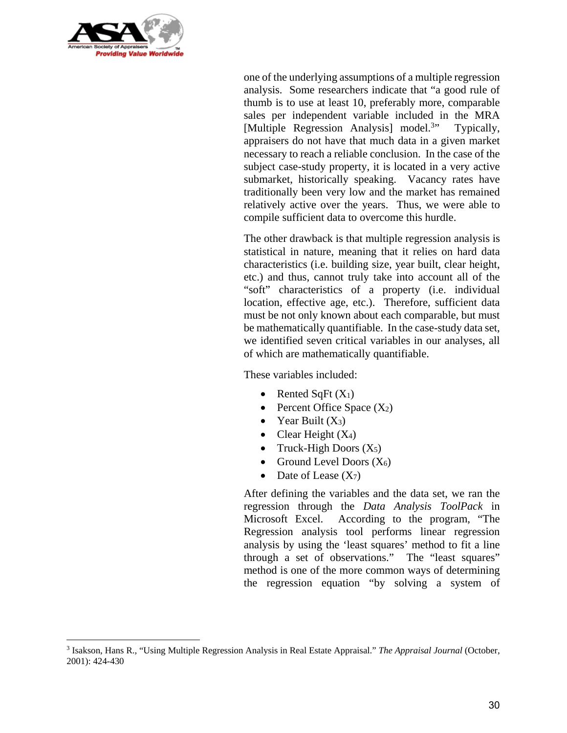

 $\overline{a}$ 

one of the underlying assumptions of a multiple regression analysis. Some researchers indicate that "a good rule of thumb is to use at least 10, preferably more, comparable sales per independent variable included in the MRA [Multiple Regression Analysis] model.<sup>3</sup> Typically, appraisers do not have that much data in a given market necessary to reach a reliable conclusion. In the case of the subject case-study property, it is located in a very active submarket, historically speaking. Vacancy rates have traditionally been very low and the market has remained relatively active over the years. Thus, we were able to compile sufficient data to overcome this hurdle.

The other drawback is that multiple regression analysis is statistical in nature, meaning that it relies on hard data characteristics (i.e. building size, year built, clear height, etc.) and thus, cannot truly take into account all of the "soft" characteristics of a property (i.e. individual location, effective age, etc.). Therefore, sufficient data must be not only known about each comparable, but must be mathematically quantifiable. In the case-study data set, we identified seven critical variables in our analyses, all of which are mathematically quantifiable.

These variables included:

- Rented SqFt  $(X_1)$
- Percent Office Space  $(X_2)$
- Year Built  $(X_3)$
- Clear Height  $(X_4)$
- Truck-High Doors  $(X_5)$
- Ground Level Doors  $(X_6)$
- Date of Lease  $(X_7)$

After defining the variables and the data set, we ran the regression through the *Data Analysis ToolPack* in Microsoft Excel. According to the program, "The Regression analysis tool performs linear regression analysis by using the 'least squares' method to fit a line through a set of observations." The "least squares" method is one of the more common ways of determining the regression equation "by solving a system of

<sup>3</sup> Isakson, Hans R., "Using Multiple Regression Analysis in Real Estate Appraisal." *The Appraisal Journal* (October, 2001): 424-430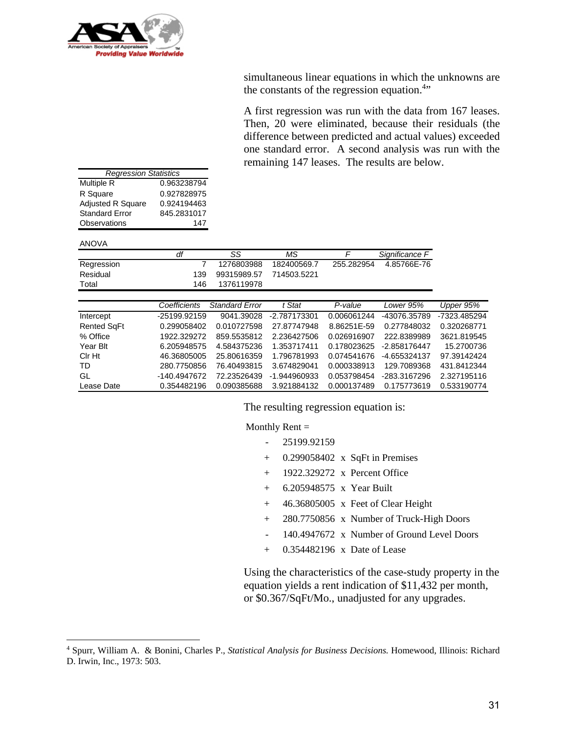

simultaneous linear equations in which the unknowns are the constants of the regression equation.<sup>4</sup>"

A first regression was run with the data from 167 leases. Then, 20 were eliminated, because their residuals (the difference between predicted and actual values) exceeded one standard error. A second analysis was run with the remaining 147 leases. The results are below.

| <b>Regression Statistics</b> |             |
|------------------------------|-------------|
| <b>Multiple R</b>            | 0.963238794 |
| R Square                     | 0.927828975 |
| Adjusted R Square            | 0.924194463 |
| <b>Standard Error</b>        | 845.2831017 |
| Observations                 | 147         |
|                              |             |

ANOVA

 $\overline{a}$ 

|             |     | SS                      | ΜS          |            | Significance F |
|-------------|-----|-------------------------|-------------|------------|----------------|
| Regression  |     | 1276803988              | 182400569.7 | 255.282954 | 4.85766E-76    |
| Residual    | 139 | 99315989.57 714503.5221 |             |            |                |
| $\tau$ otal | 146 | 1376119978              |             |            |                |

|                    | Coefficients | <b>Standard Error</b> | t Stat       | P-value     | Lower 95%    | Upper 95%    |
|--------------------|--------------|-----------------------|--------------|-------------|--------------|--------------|
| Intercept          | -25199.92159 | 9041.39028            | -2.787173301 | 0.006061244 | -43076.35789 | -7323.485294 |
| <b>Rented SqFt</b> | 0.299058402  | 0.010727598           | 27.87747948  | 8.86251E-59 | 0.277848032  | 0.320268771  |
| % Office           | 1922.329272  | 859.5535812           | 2.236427506  | 0.026916907 | 222.8389989  | 3621.819545  |
| Year Blt           | 6.205948575  | 4.584375236           | 1.353717411  | 0.178023625 | -2.858176447 | 15.2700736   |
| Cir Ht             | 46.36805005  | 25.80616359           | 1.796781993  | 0.074541676 | -4.655324137 | 97.39142424  |
| TD.                | 280.7750856  | 76.40493815           | 3.674829041  | 0.000338913 | 129.7089368  | 431.8412344  |
| GL                 | -140.4947672 | 72.23526439           | -1.944960933 | 0.053798454 | -283.3167296 | 2.327195116  |
| Lease Date         | 0.354482196  | 0.090385688           | 3.921884132  | 0.000137489 | 0.175773619  | 0.533190774  |
|                    |              |                       |              |             |              |              |

The resulting regression equation is:

Monthly Rent  $=$ 

- 25199.92159
- + 0.299058402 x SqFt in Premises
- + 1922.329272 x Percent Office
- + 6.205948575 x Year Built
- + 46.36805005 x Feet of Clear Height
- + 280.7750856 x Number of Truck-High Doors
- 140.4947672 x Number of Ground Level Doors
- + 0.354482196 x Date of Lease

 Using the characteristics of the case-study property in the equation yields a rent indication of \$11,432 per month, or \$0.367/SqFt/Mo., unadjusted for any upgrades.

<sup>4</sup> Spurr, William A. & Bonini, Charles P., *Statistical Analysis for Business Decisions.* Homewood, Illinois: Richard D. Irwin, Inc., 1973: 503.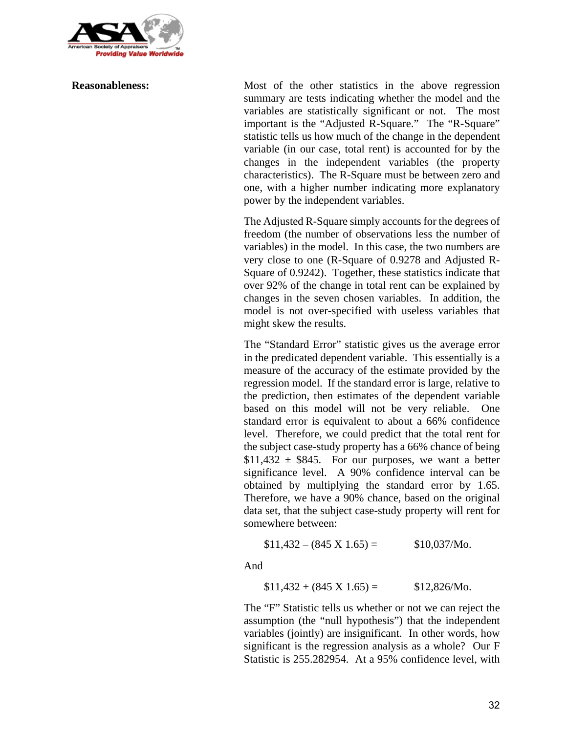

**Reasonableness:** Most of the other statistics in the above regression summary are tests indicating whether the model and the variables are statistically significant or not. The most important is the "Adjusted R-Square." The "R-Square" statistic tells us how much of the change in the dependent variable (in our case, total rent) is accounted for by the changes in the independent variables (the property characteristics). The R-Square must be between zero and one, with a higher number indicating more explanatory power by the independent variables.

> The Adjusted R-Square simply accounts for the degrees of freedom (the number of observations less the number of variables) in the model. In this case, the two numbers are very close to one (R-Square of 0.9278 and Adjusted R-Square of 0.9242). Together, these statistics indicate that over 92% of the change in total rent can be explained by changes in the seven chosen variables. In addition, the model is not over-specified with useless variables that might skew the results.

> The "Standard Error" statistic gives us the average error in the predicated dependent variable. This essentially is a measure of the accuracy of the estimate provided by the regression model. If the standard error is large, relative to the prediction, then estimates of the dependent variable based on this model will not be very reliable. One standard error is equivalent to about a 66% confidence level. Therefore, we could predict that the total rent for the subject case-study property has a 66% chance of being  $$11,432 \pm $845$ . For our purposes, we want a better significance level. A 90% confidence interval can be obtained by multiplying the standard error by 1.65. Therefore, we have a 90% chance, based on the original data set, that the subject case-study property will rent for somewhere between:

$$
$11,432 - (845 \text{ X } 1.65) = $10,037/\text{Mo}.
$$

And

$$
$11,432 + (845 \text{ X } 1.65) = $12,826/\text{Mo}.
$$

The "F" Statistic tells us whether or not we can reject the assumption (the "null hypothesis") that the independent variables (jointly) are insignificant. In other words, how significant is the regression analysis as a whole? Our F Statistic is 255.282954. At a 95% confidence level, with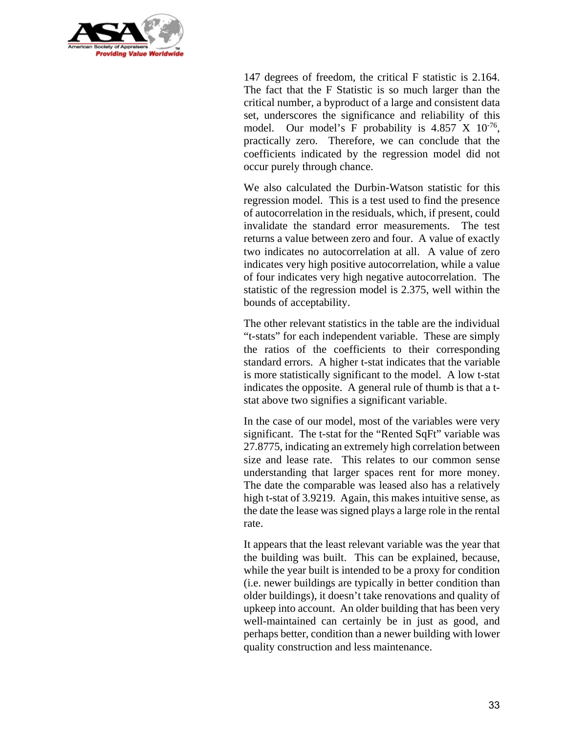

147 degrees of freedom, the critical F statistic is 2.164. The fact that the F Statistic is so much larger than the critical number, a byproduct of a large and consistent data set, underscores the significance and reliability of this model. Our model's F probability is  $4.857 \times 10^{-76}$ , practically zero. Therefore, we can conclude that the coefficients indicated by the regression model did not occur purely through chance.

We also calculated the Durbin-Watson statistic for this regression model. This is a test used to find the presence of autocorrelation in the residuals, which, if present, could invalidate the standard error measurements. The test returns a value between zero and four. A value of exactly two indicates no autocorrelation at all. A value of zero indicates very high positive autocorrelation, while a value of four indicates very high negative autocorrelation. The statistic of the regression model is 2.375, well within the bounds of acceptability.

The other relevant statistics in the table are the individual "t-stats" for each independent variable. These are simply the ratios of the coefficients to their corresponding standard errors. A higher t-stat indicates that the variable is more statistically significant to the model. A low t-stat indicates the opposite. A general rule of thumb is that a tstat above two signifies a significant variable.

In the case of our model, most of the variables were very significant. The t-stat for the "Rented SqFt" variable was 27.8775, indicating an extremely high correlation between size and lease rate. This relates to our common sense understanding that larger spaces rent for more money. The date the comparable was leased also has a relatively high t-stat of 3.9219. Again, this makes intuitive sense, as the date the lease was signed plays a large role in the rental rate.

It appears that the least relevant variable was the year that the building was built. This can be explained, because, while the year built is intended to be a proxy for condition (i.e. newer buildings are typically in better condition than older buildings), it doesn't take renovations and quality of upkeep into account. An older building that has been very well-maintained can certainly be in just as good, and perhaps better, condition than a newer building with lower quality construction and less maintenance.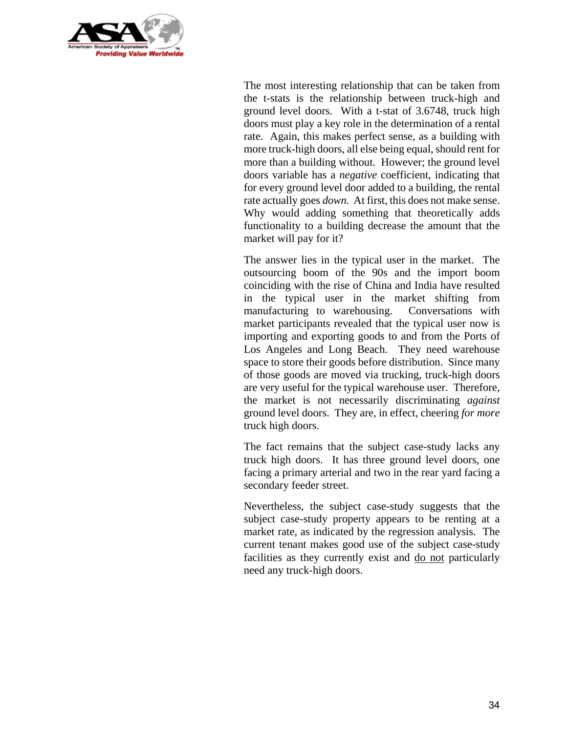

The most interesting relationship that can be taken from the t-stats is the relationship between truck-high and ground level doors. With a t-stat of 3.6748, truck high doors must play a key role in the determination of a rental rate. Again, this makes perfect sense, as a building with more truck-high doors, all else being equal, should rent for more than a building without. However; the ground level doors variable has a *negative* coefficient, indicating that for every ground level door added to a building, the rental rate actually goes *down.* At first, this does not make sense. Why would adding something that theoretically adds functionality to a building decrease the amount that the market will pay for it?

The answer lies in the typical user in the market. The outsourcing boom of the 90s and the import boom coinciding with the rise of China and India have resulted in the typical user in the market shifting from manufacturing to warehousing. Conversations with market participants revealed that the typical user now is importing and exporting goods to and from the Ports of Los Angeles and Long Beach. They need warehouse space to store their goods before distribution. Since many of those goods are moved via trucking, truck-high doors are very useful for the typical warehouse user. Therefore, the market is not necessarily discriminating *against* ground level doors. They are, in effect, cheering *for more* truck high doors.

The fact remains that the subject case-study lacks any truck high doors. It has three ground level doors, one facing a primary arterial and two in the rear yard facing a secondary feeder street.

Nevertheless, the subject case-study suggests that the subject case-study property appears to be renting at a market rate, as indicated by the regression analysis. The current tenant makes good use of the subject case-study facilities as they currently exist and do not particularly need any truck-high doors.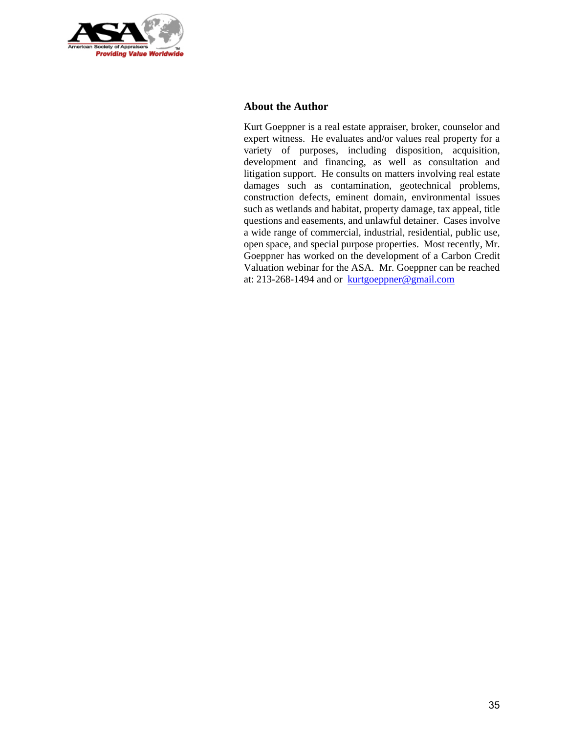

#### **About the Author**

Kurt Goeppner is a real estate appraiser, broker, counselor and expert witness. He evaluates and/or values real property for a variety of purposes, including disposition, acquisition, development and financing, as well as consultation and litigation support. He consults on matters involving real estate damages such as contamination, geotechnical problems, construction defects, eminent domain, environmental issues such as wetlands and habitat, property damage, tax appeal, title questions and easements, and unlawful detainer. Cases involve a wide range of commercial, industrial, residential, public use, open space, and special purpose properties. Most recently, Mr. Goeppner has worked on the development of a Carbon Credit Valuation webinar for the ASA. Mr. Goeppner can be reached at: 213-268-1494 and or kurtgoeppner@gmail.com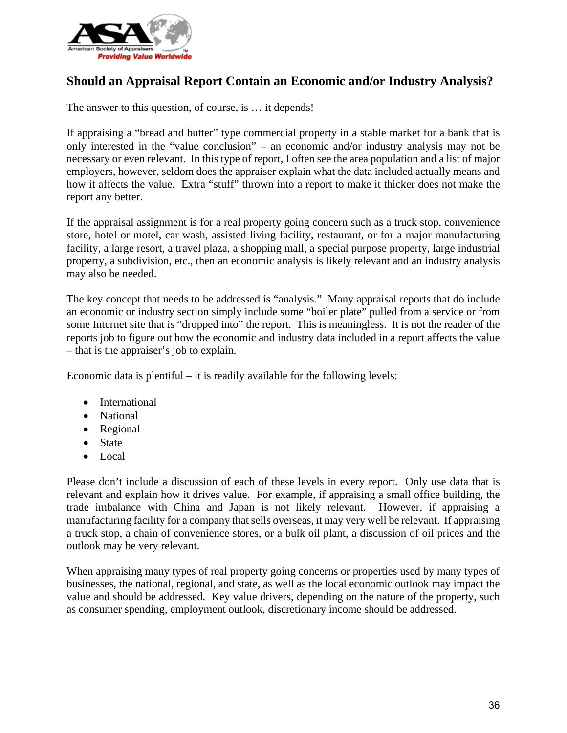

# **Should an Appraisal Report Contain an Economic and/or Industry Analysis?**

The answer to this question, of course, is … it depends!

If appraising a "bread and butter" type commercial property in a stable market for a bank that is only interested in the "value conclusion" – an economic and/or industry analysis may not be necessary or even relevant. In this type of report, I often see the area population and a list of major employers, however, seldom does the appraiser explain what the data included actually means and how it affects the value. Extra "stuff" thrown into a report to make it thicker does not make the report any better.

If the appraisal assignment is for a real property going concern such as a truck stop, convenience store, hotel or motel, car wash, assisted living facility, restaurant, or for a major manufacturing facility, a large resort, a travel plaza, a shopping mall, a special purpose property, large industrial property, a subdivision, etc., then an economic analysis is likely relevant and an industry analysis may also be needed.

The key concept that needs to be addressed is "analysis." Many appraisal reports that do include an economic or industry section simply include some "boiler plate" pulled from a service or from some Internet site that is "dropped into" the report. This is meaningless. It is not the reader of the reports job to figure out how the economic and industry data included in a report affects the value – that is the appraiser's job to explain.

Economic data is plentiful – it is readily available for the following levels:

- International
- National
- Regional
- State
- Local

Please don't include a discussion of each of these levels in every report. Only use data that is relevant and explain how it drives value. For example, if appraising a small office building, the trade imbalance with China and Japan is not likely relevant. However, if appraising a manufacturing facility for a company that sells overseas, it may very well be relevant. If appraising a truck stop, a chain of convenience stores, or a bulk oil plant, a discussion of oil prices and the outlook may be very relevant.

When appraising many types of real property going concerns or properties used by many types of businesses, the national, regional, and state, as well as the local economic outlook may impact the value and should be addressed. Key value drivers, depending on the nature of the property, such as consumer spending, employment outlook, discretionary income should be addressed.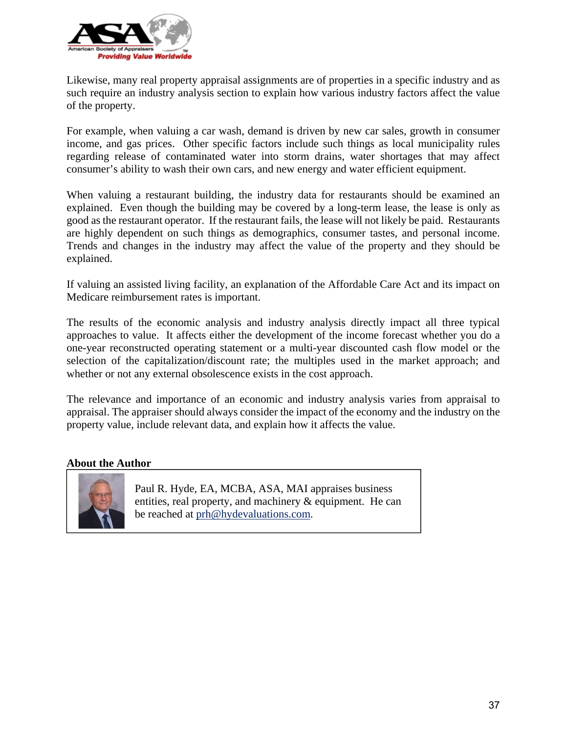

Likewise, many real property appraisal assignments are of properties in a specific industry and as such require an industry analysis section to explain how various industry factors affect the value of the property.

For example, when valuing a car wash, demand is driven by new car sales, growth in consumer income, and gas prices. Other specific factors include such things as local municipality rules regarding release of contaminated water into storm drains, water shortages that may affect consumer's ability to wash their own cars, and new energy and water efficient equipment.

When valuing a restaurant building, the industry data for restaurants should be examined an explained. Even though the building may be covered by a long-term lease, the lease is only as good as the restaurant operator. If the restaurant fails, the lease will not likely be paid. Restaurants are highly dependent on such things as demographics, consumer tastes, and personal income. Trends and changes in the industry may affect the value of the property and they should be explained.

If valuing an assisted living facility, an explanation of the Affordable Care Act and its impact on Medicare reimbursement rates is important.

The results of the economic analysis and industry analysis directly impact all three typical approaches to value. It affects either the development of the income forecast whether you do a one-year reconstructed operating statement or a multi-year discounted cash flow model or the selection of the capitalization/discount rate; the multiples used in the market approach; and whether or not any external obsolescence exists in the cost approach.

The relevance and importance of an economic and industry analysis varies from appraisal to appraisal. The appraiser should always consider the impact of the economy and the industry on the property value, include relevant data, and explain how it affects the value.

#### **About the Author**



Paul R. Hyde, EA, MCBA, ASA, MAI appraises business entities, real property, and machinery & equipment. He can be reached at prh@hydevaluations.com.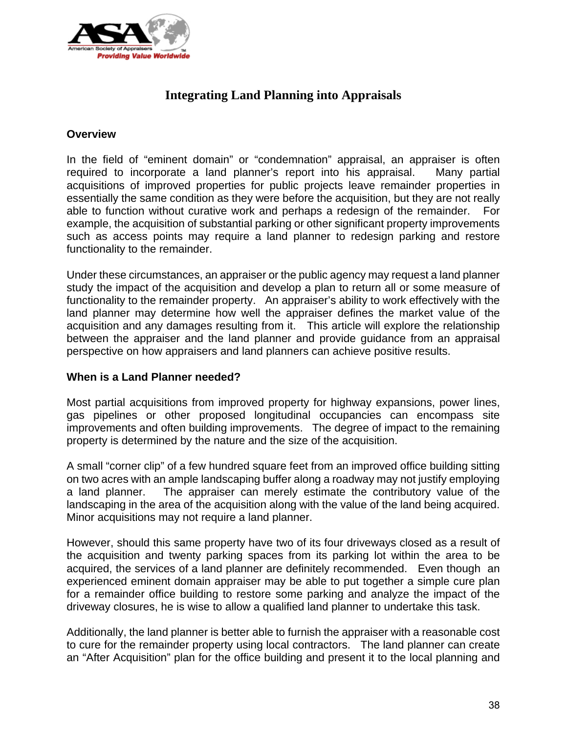

# **Integrating Land Planning into Appraisals**

## **Overview**

In the field of "eminent domain" or "condemnation" appraisal, an appraiser is often required to incorporate a land planner's report into his appraisal. Many partial acquisitions of improved properties for public projects leave remainder properties in essentially the same condition as they were before the acquisition, but they are not really able to function without curative work and perhaps a redesign of the remainder. For example, the acquisition of substantial parking or other significant property improvements such as access points may require a land planner to redesign parking and restore functionality to the remainder.

Under these circumstances, an appraiser or the public agency may request a land planner study the impact of the acquisition and develop a plan to return all or some measure of functionality to the remainder property. An appraiser's ability to work effectively with the land planner may determine how well the appraiser defines the market value of the acquisition and any damages resulting from it. This article will explore the relationship between the appraiser and the land planner and provide guidance from an appraisal perspective on how appraisers and land planners can achieve positive results.

# **When is a Land Planner needed?**

Most partial acquisitions from improved property for highway expansions, power lines, gas pipelines or other proposed longitudinal occupancies can encompass site improvements and often building improvements. The degree of impact to the remaining property is determined by the nature and the size of the acquisition.

A small "corner clip" of a few hundred square feet from an improved office building sitting on two acres with an ample landscaping buffer along a roadway may not justify employing a land planner. The appraiser can merely estimate the contributory value of the landscaping in the area of the acquisition along with the value of the land being acquired. Minor acquisitions may not require a land planner.

However, should this same property have two of its four driveways closed as a result of the acquisition and twenty parking spaces from its parking lot within the area to be acquired, the services of a land planner are definitely recommended. Even though an experienced eminent domain appraiser may be able to put together a simple cure plan for a remainder office building to restore some parking and analyze the impact of the driveway closures, he is wise to allow a qualified land planner to undertake this task.

Additionally, the land planner is better able to furnish the appraiser with a reasonable cost to cure for the remainder property using local contractors. The land planner can create an "After Acquisition" plan for the office building and present it to the local planning and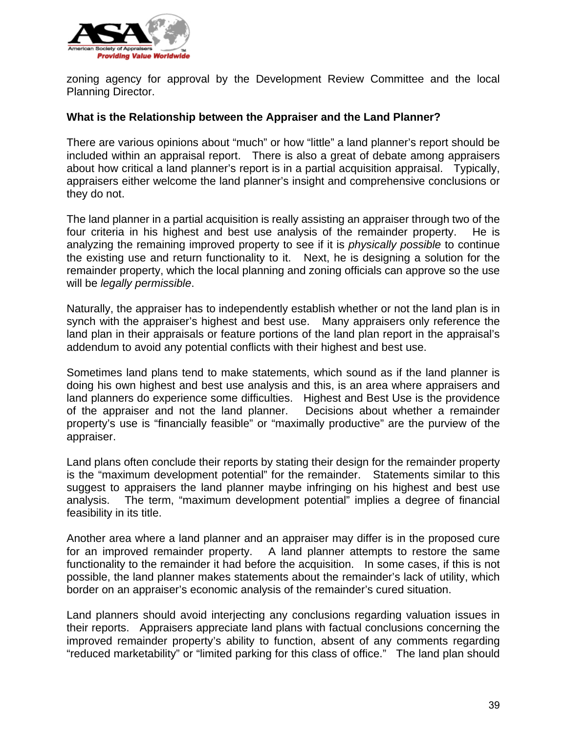

zoning agency for approval by the Development Review Committee and the local Planning Director.

## **What is the Relationship between the Appraiser and the Land Planner?**

There are various opinions about "much" or how "little" a land planner's report should be included within an appraisal report. There is also a great of debate among appraisers about how critical a land planner's report is in a partial acquisition appraisal. Typically, appraisers either welcome the land planner's insight and comprehensive conclusions or they do not.

The land planner in a partial acquisition is really assisting an appraiser through two of the four criteria in his highest and best use analysis of the remainder property. He is analyzing the remaining improved property to see if it is *physically possible* to continue the existing use and return functionality to it. Next, he is designing a solution for the remainder property, which the local planning and zoning officials can approve so the use will be *legally permissible*.

Naturally, the appraiser has to independently establish whether or not the land plan is in synch with the appraiser's highest and best use. Many appraisers only reference the land plan in their appraisals or feature portions of the land plan report in the appraisal's addendum to avoid any potential conflicts with their highest and best use.

Sometimes land plans tend to make statements, which sound as if the land planner is doing his own highest and best use analysis and this, is an area where appraisers and land planners do experience some difficulties. Highest and Best Use is the providence of the appraiser and not the land planner. Decisions about whether a remainder property's use is "financially feasible" or "maximally productive" are the purview of the appraiser.

Land plans often conclude their reports by stating their design for the remainder property is the "maximum development potential" for the remainder. Statements similar to this suggest to appraisers the land planner maybe infringing on his highest and best use analysis. The term, "maximum development potential" implies a degree of financial feasibility in its title.

Another area where a land planner and an appraiser may differ is in the proposed cure for an improved remainder property. A land planner attempts to restore the same functionality to the remainder it had before the acquisition. In some cases, if this is not possible, the land planner makes statements about the remainder's lack of utility, which border on an appraiser's economic analysis of the remainder's cured situation.

Land planners should avoid interjecting any conclusions regarding valuation issues in their reports. Appraisers appreciate land plans with factual conclusions concerning the improved remainder property's ability to function, absent of any comments regarding "reduced marketability" or "limited parking for this class of office." The land plan should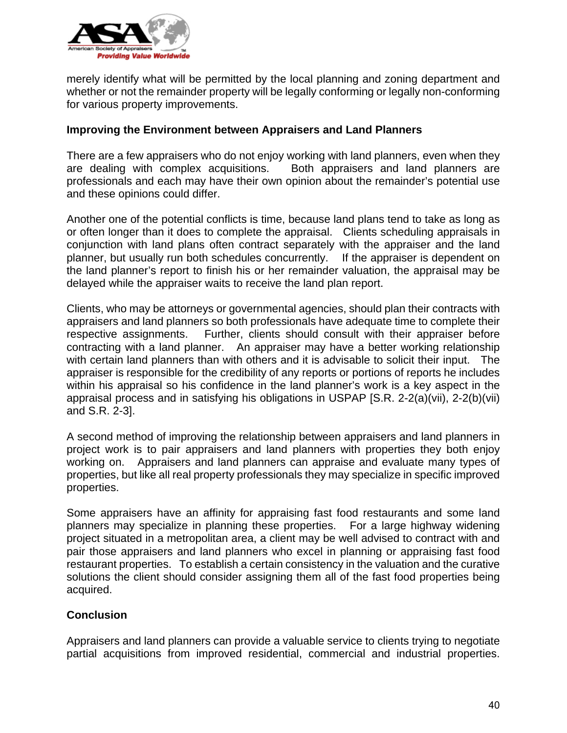

merely identify what will be permitted by the local planning and zoning department and whether or not the remainder property will be legally conforming or legally non-conforming for various property improvements.

## **Improving the Environment between Appraisers and Land Planners**

There are a few appraisers who do not enjoy working with land planners, even when they are dealing with complex acquisitions. Both appraisers and land planners are professionals and each may have their own opinion about the remainder's potential use and these opinions could differ.

Another one of the potential conflicts is time, because land plans tend to take as long as or often longer than it does to complete the appraisal. Clients scheduling appraisals in conjunction with land plans often contract separately with the appraiser and the land planner, but usually run both schedules concurrently. If the appraiser is dependent on the land planner's report to finish his or her remainder valuation, the appraisal may be delayed while the appraiser waits to receive the land plan report.

Clients, who may be attorneys or governmental agencies, should plan their contracts with appraisers and land planners so both professionals have adequate time to complete their respective assignments. Further, clients should consult with their appraiser before contracting with a land planner. An appraiser may have a better working relationship with certain land planners than with others and it is advisable to solicit their input. The appraiser is responsible for the credibility of any reports or portions of reports he includes within his appraisal so his confidence in the land planner's work is a key aspect in the appraisal process and in satisfying his obligations in USPAP [S.R. 2-2(a)(vii), 2-2(b)(vii) and S.R. 2-3].

A second method of improving the relationship between appraisers and land planners in project work is to pair appraisers and land planners with properties they both enjoy working on. Appraisers and land planners can appraise and evaluate many types of properties, but like all real property professionals they may specialize in specific improved properties.

Some appraisers have an affinity for appraising fast food restaurants and some land planners may specialize in planning these properties. For a large highway widening project situated in a metropolitan area, a client may be well advised to contract with and pair those appraisers and land planners who excel in planning or appraising fast food restaurant properties. To establish a certain consistency in the valuation and the curative solutions the client should consider assigning them all of the fast food properties being acquired.

# **Conclusion**

Appraisers and land planners can provide a valuable service to clients trying to negotiate partial acquisitions from improved residential, commercial and industrial properties.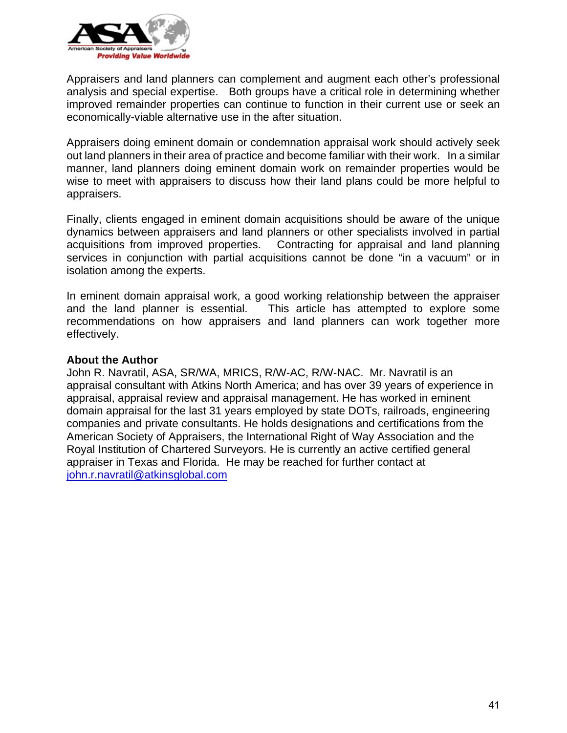

Appraisers and land planners can complement and augment each other's professional analysis and special expertise. Both groups have a critical role in determining whether improved remainder properties can continue to function in their current use or seek an economically-viable alternative use in the after situation.

Appraisers doing eminent domain or condemnation appraisal work should actively seek out land planners in their area of practice and become familiar with their work. In a similar manner, land planners doing eminent domain work on remainder properties would be wise to meet with appraisers to discuss how their land plans could be more helpful to appraisers.

Finally, clients engaged in eminent domain acquisitions should be aware of the unique dynamics between appraisers and land planners or other specialists involved in partial acquisitions from improved properties. Contracting for appraisal and land planning services in conjunction with partial acquisitions cannot be done "in a vacuum" or in isolation among the experts.

In eminent domain appraisal work, a good working relationship between the appraiser and the land planner is essential. This article has attempted to explore some recommendations on how appraisers and land planners can work together more effectively.

## **About the Author**

John R. Navratil, ASA, SR/WA, MRICS, R/W-AC, R/W-NAC. Mr. Navratil is an appraisal consultant with Atkins North America; and has over 39 years of experience in appraisal, appraisal review and appraisal management. He has worked in eminent domain appraisal for the last 31 years employed by state DOTs, railroads, engineering companies and private consultants. He holds designations and certifications from the American Society of Appraisers, the International Right of Way Association and the Royal Institution of Chartered Surveyors. He is currently an active certified general appraiser in Texas and Florida. He may be reached for further contact at john.r.navratil@atkinsglobal.com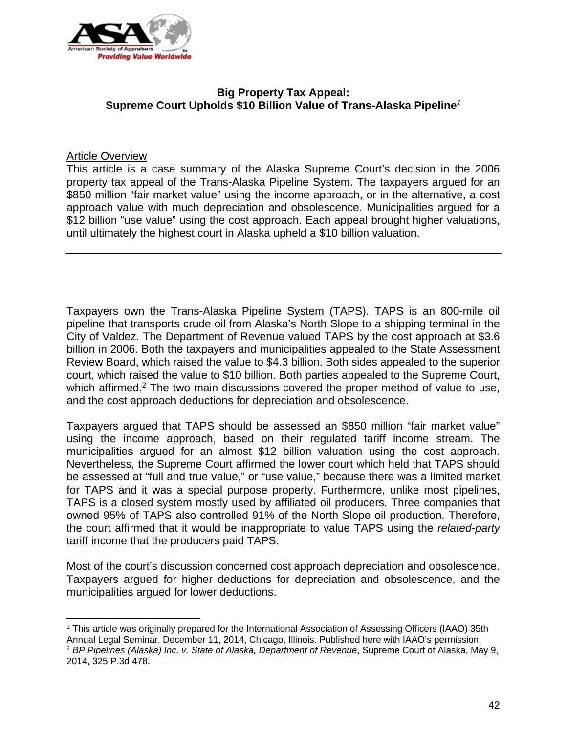

# **Big Property Tax Appeal: Supreme Court Upholds \$10 Billion Value of Trans-Alaska Pipeline***<sup>1</sup>*

# Article Overview

 $\overline{a}$ 

This article is a case summary of the Alaska Supreme Court's decision in the 2006 property tax appeal of the Trans-Alaska Pipeline System. The taxpayers argued for an \$850 million "fair market value" using the income approach, or in the alternative, a cost approach value with much depreciation and obsolescence. Municipalities argued for a \$12 billion "use value" using the cost approach. Each appeal brought higher valuations, until ultimately the highest court in Alaska upheld a \$10 billion valuation.

Taxpayers own the Trans-Alaska Pipeline System (TAPS). TAPS is an 800-mile oil pipeline that transports crude oil from Alaska's North Slope to a shipping terminal in the City of Valdez. The Department of Revenue valued TAPS by the cost approach at \$3.6 billion in 2006. Both the taxpayers and municipalities appealed to the State Assessment Review Board, which raised the value to \$4.3 billion. Both sides appealed to the superior court, which raised the value to \$10 billion. Both parties appealed to the Supreme Court, which affirmed.<sup>2</sup> The two main discussions covered the proper method of value to use, and the cost approach deductions for depreciation and obsolescence.

Taxpayers argued that TAPS should be assessed an \$850 million "fair market value" using the income approach, based on their regulated tariff income stream. The municipalities argued for an almost \$12 billion valuation using the cost approach. Nevertheless, the Supreme Court affirmed the lower court which held that TAPS should be assessed at "full and true value," or "use value," because there was a limited market for TAPS and it was a special purpose property. Furthermore, unlike most pipelines, TAPS is a closed system mostly used by affiliated oil producers. Three companies that owned 95% of TAPS also controlled 91% of the North Slope oil production. Therefore, the court affirmed that it would be inappropriate to value TAPS using the *related-party* tariff income that the producers paid TAPS.

Most of the court's discussion concerned cost approach depreciation and obsolescence. Taxpayers argued for higher deductions for depreciation and obsolescence, and the municipalities argued for lower deductions.

<sup>1</sup> This article was originally prepared for the International Association of Assessing Officers (IAAO) 35th Annual Legal Seminar, December 11, 2014, Chicago, Illinois. Published here with IAAO's permission. <sup>2</sup> *BP Pipelines (Alaska) Inc. v. State of Alaska, Department of Revenue*, Supreme Court of Alaska, May 9, 2014, 325 P.3d 478.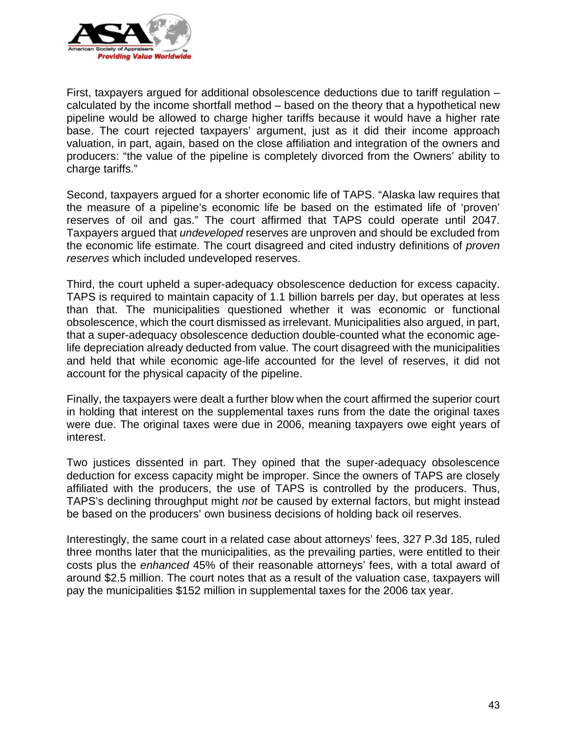

First, taxpayers argued for additional obsolescence deductions due to tariff regulation – calculated by the income shortfall method – based on the theory that a hypothetical new pipeline would be allowed to charge higher tariffs because it would have a higher rate base. The court rejected taxpayers' argument, just as it did their income approach valuation, in part, again, based on the close affiliation and integration of the owners and producers: "the value of the pipeline is completely divorced from the Owners' ability to charge tariffs."

Second, taxpayers argued for a shorter economic life of TAPS. "Alaska law requires that the measure of a pipeline's economic life be based on the estimated life of 'proven' reserves of oil and gas." The court affirmed that TAPS could operate until 2047. Taxpayers argued that *undeveloped* reserves are unproven and should be excluded from the economic life estimate. The court disagreed and cited industry definitions of *proven reserves* which included undeveloped reserves.

Third, the court upheld a super-adequacy obsolescence deduction for excess capacity. TAPS is required to maintain capacity of 1.1 billion barrels per day, but operates at less than that. The municipalities questioned whether it was economic or functional obsolescence, which the court dismissed as irrelevant. Municipalities also argued, in part, that a super-adequacy obsolescence deduction double-counted what the economic agelife depreciation already deducted from value. The court disagreed with the municipalities and held that while economic age-life accounted for the level of reserves, it did not account for the physical capacity of the pipeline.

Finally, the taxpayers were dealt a further blow when the court affirmed the superior court in holding that interest on the supplemental taxes runs from the date the original taxes were due. The original taxes were due in 2006, meaning taxpayers owe eight years of interest.

Two justices dissented in part. They opined that the super-adequacy obsolescence deduction for excess capacity might be improper. Since the owners of TAPS are closely affiliated with the producers, the use of TAPS is controlled by the producers. Thus, TAPS's declining throughput might *not* be caused by external factors, but might instead be based on the producers' own business decisions of holding back oil reserves.

Interestingly, the same court in a related case about attorneys' fees, 327 P.3d 185, ruled three months later that the municipalities, as the prevailing parties, were entitled to their costs plus the *enhanced* 45% of their reasonable attorneys' fees, with a total award of around \$2.5 million. The court notes that as a result of the valuation case, taxpayers will pay the municipalities \$152 million in supplemental taxes for the 2006 tax year.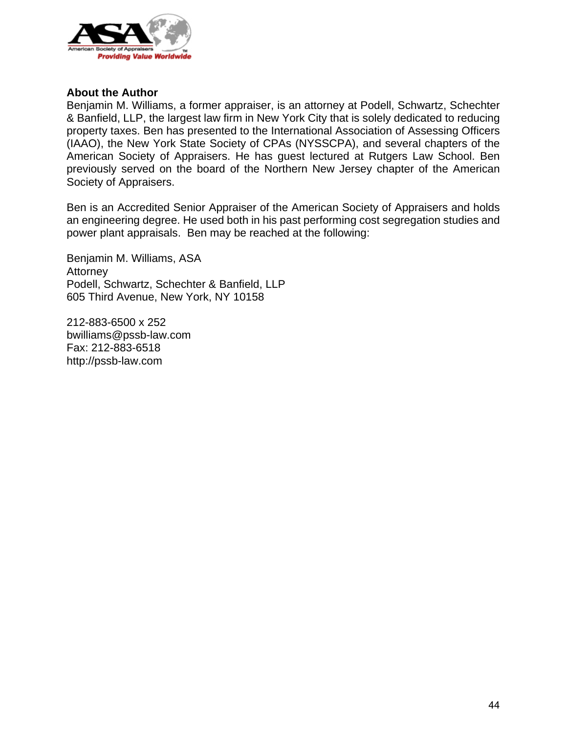

#### **About the Author**

Benjamin M. Williams, a former appraiser, is an attorney at Podell, Schwartz, Schechter & Banfield, LLP, the largest law firm in New York City that is solely dedicated to reducing property taxes. Ben has presented to the International Association of Assessing Officers (IAAO), the New York State Society of CPAs (NYSSCPA), and several chapters of the American Society of Appraisers. He has guest lectured at Rutgers Law School. Ben previously served on the board of the Northern New Jersey chapter of the American Society of Appraisers.

Ben is an Accredited Senior Appraiser of the American Society of Appraisers and holds an engineering degree. He used both in his past performing cost segregation studies and power plant appraisals. Ben may be reached at the following:

Benjamin M. Williams, ASA Attorney Podell, Schwartz, Schechter & Banfield, LLP 605 Third Avenue, New York, NY 10158

212-883-6500 x 252 bwilliams@pssb-law.com Fax: 212-883-6518 http://pssb-law.com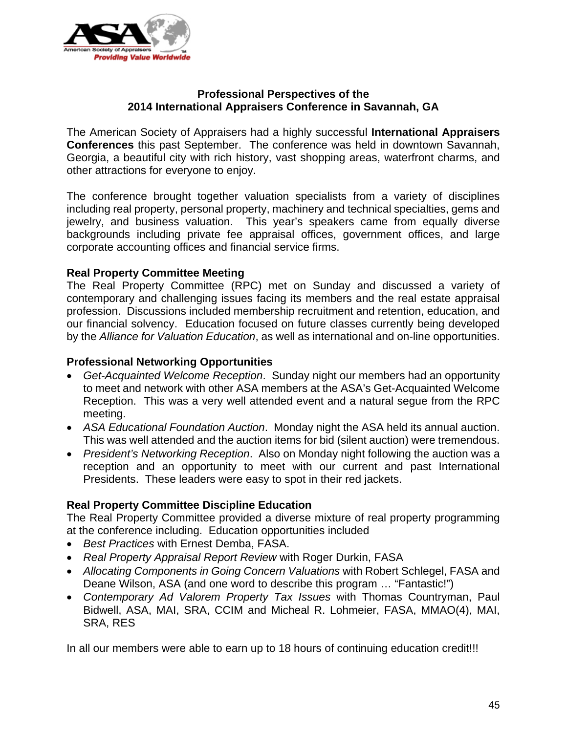

# **Professional Perspectives of the 2014 International Appraisers Conference in Savannah, GA**

The American Society of Appraisers had a highly successful **International Appraisers Conferences** this past September. The conference was held in downtown Savannah, Georgia, a beautiful city with rich history, vast shopping areas, waterfront charms, and other attractions for everyone to enjoy.

The conference brought together valuation specialists from a variety of disciplines including real property, personal property, machinery and technical specialties, gems and jewelry, and business valuation. This year's speakers came from equally diverse backgrounds including private fee appraisal offices, government offices, and large corporate accounting offices and financial service firms.

## **Real Property Committee Meeting**

The Real Property Committee (RPC) met on Sunday and discussed a variety of contemporary and challenging issues facing its members and the real estate appraisal profession. Discussions included membership recruitment and retention, education, and our financial solvency. Education focused on future classes currently being developed by the *Alliance for Valuation Education*, as well as international and on-line opportunities.

# **Professional Networking Opportunities**

- *Get-Acquainted Welcome Reception*. Sunday night our members had an opportunity to meet and network with other ASA members at the ASA's Get-Acquainted Welcome Reception. This was a very well attended event and a natural segue from the RPC meeting.
- *ASA Educational Foundation Auction*. Monday night the ASA held its annual auction. This was well attended and the auction items for bid (silent auction) were tremendous.
- *President's Networking Reception*. Also on Monday night following the auction was a reception and an opportunity to meet with our current and past International Presidents. These leaders were easy to spot in their red jackets.

# **Real Property Committee Discipline Education**

The Real Property Committee provided a diverse mixture of real property programming at the conference including. Education opportunities included

- *Best Practices* with Ernest Demba, FASA.
- *Real Property Appraisal Report Review* with Roger Durkin, FASA
- *Allocating Components in Going Concern Valuations* with Robert Schlegel, FASA and Deane Wilson, ASA (and one word to describe this program … "Fantastic!")
- *Contemporary Ad Valorem Property Tax Issues* with Thomas Countryman, Paul Bidwell, ASA, MAI, SRA, CCIM and Micheal R. Lohmeier, FASA, MMAO(4), MAI, SRA, RES

In all our members were able to earn up to 18 hours of continuing education credit!!!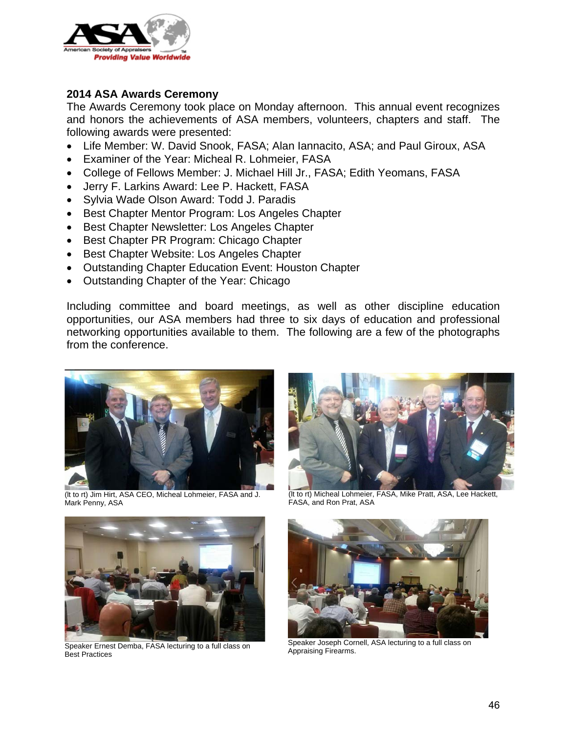

# **2014 ASA Awards Ceremony**

The Awards Ceremony took place on Monday afternoon. This annual event recognizes and honors the achievements of ASA members, volunteers, chapters and staff. The following awards were presented:

- Life Member: W. David Snook, FASA; Alan Iannacito, ASA; and Paul Giroux, ASA
- Examiner of the Year: Micheal R. Lohmeier, FASA
- College of Fellows Member: J. Michael Hill Jr., FASA; Edith Yeomans, FASA
- Jerry F. Larkins Award: Lee P. Hackett, FASA
- Sylvia Wade Olson Award: Todd J. Paradis
- Best Chapter Mentor Program: Los Angeles Chapter
- Best Chapter Newsletter: Los Angeles Chapter
- Best Chapter PR Program: Chicago Chapter
- **Best Chapter Website: Los Angeles Chapter**
- Outstanding Chapter Education Event: Houston Chapter
- Outstanding Chapter of the Year: Chicago

Including committee and board meetings, as well as other discipline education opportunities, our ASA members had three to six days of education and professional networking opportunities available to them. The following are a few of the photographs from the conference.



(lt to rt) Jim Hirt, ASA CEO, Micheal Lohmeier, FASA and J. Mark Penny, ASA





Speaker Ernest Demba, FASA lecturing to a full class on Best Practices

(lt to rt) Micheal Lohmeier, FASA, Mike Pratt, ASA, Lee Hackett, FASA, and Ron Prat, ASA



Speaker Joseph Cornell, ASA lecturing to a full class on Appraising Firearms.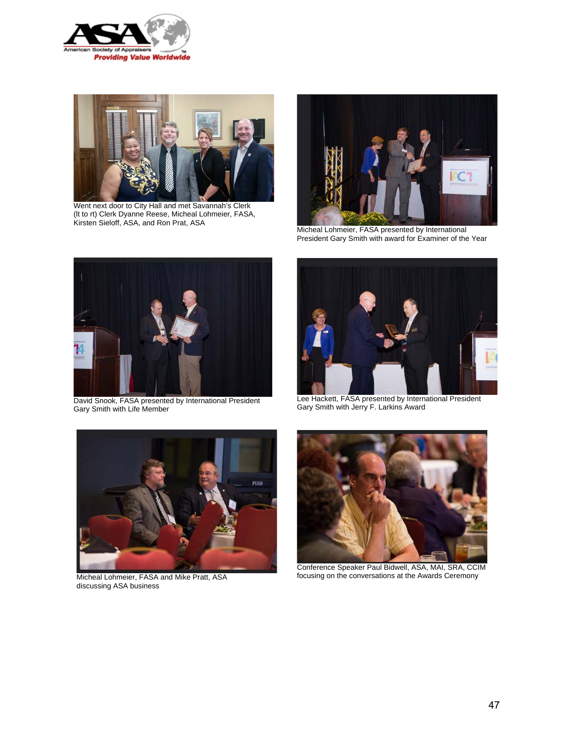



Went next door to City Hall and met Savannah's Clerk (lt to rt) Clerk Dyanne Reese, Micheal Lohmeier, FASA, Kirsten Sieloff, ASA, and Ron Prat, ASA



Micheal Lohmeier, FASA presented by International President Gary Smith with award for Examiner of the Year



David Snook, FASA presented by International President Gary Smith with Life Member



Lee Hackett, FASA presented by International President Gary Smith with Jerry F. Larkins Award



Micheal Lohmeier, FASA and Mike Pratt, ASA discussing ASA business



Conference Speaker Paul Bidwell, ASA, MAI, SRA, CCIM focusing on the conversations at the Awards Ceremony